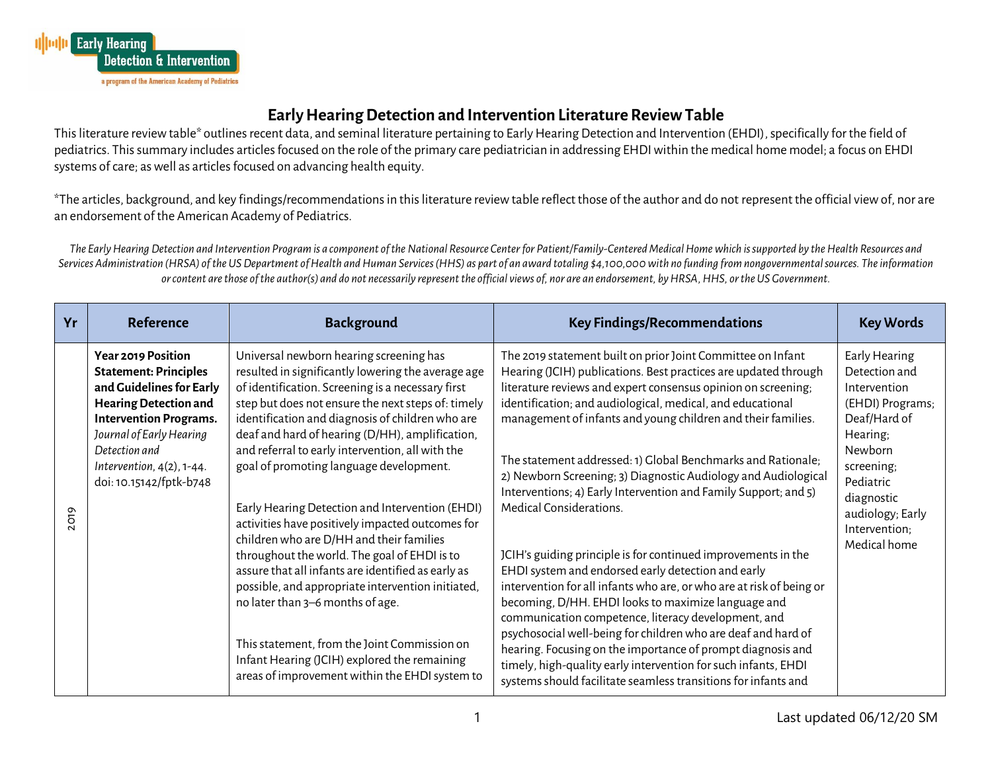

## **Early Hearing Detection and Intervention Literature Review Table**

This literature review table\* outlines recent data, and seminal literature pertaining to Early Hearing Detection and Intervention (EHDI), specifically for the field of pediatrics. This summary includes articles focused on the role of the primary care pediatrician in addressing EHDI within the medical home model; a focus on EHDI systems of care; as well as articles focused on advancing health equity.

\*The articles, background, and key findings/recommendations in this literature review table reflect those of the author and do not represent the official view of, nor are an endorsement of the American Academy of Pediatrics.

*The Early Hearing Detection and Intervention Program is a component of the National Resource Center for Patient/Family-Centered Medical Home which is supported by the Health Resources and Services Administration (HRSA) of the US Department of Health and Human Services (HHS) as part of an award totaling \$4,100,000 with no funding from nongovernmental sources. The information or content are those of the author(s) and do not necessarily represent the official views of, nor are an endorsement, by HRSA, HHS, or the US Government.*

| Yr   | <b>Reference</b>                                                                                                                                                                                                                                                  | <b>Background</b>                                                                                                                                                                                                                                                                                                                                                                                                                                                                                                                                                                                                                                                                                                                                                                                                                                                                                                  | <b>Key Findings/Recommendations</b>                                                                                                                                                                                                                                                                                                                                                                                                                                                                                                                                                                                                                                                                                                                                                                                                                                                                                                                                                                                                                                                                                                            | <b>Key Words</b>                                                                                                                                                                                        |
|------|-------------------------------------------------------------------------------------------------------------------------------------------------------------------------------------------------------------------------------------------------------------------|--------------------------------------------------------------------------------------------------------------------------------------------------------------------------------------------------------------------------------------------------------------------------------------------------------------------------------------------------------------------------------------------------------------------------------------------------------------------------------------------------------------------------------------------------------------------------------------------------------------------------------------------------------------------------------------------------------------------------------------------------------------------------------------------------------------------------------------------------------------------------------------------------------------------|------------------------------------------------------------------------------------------------------------------------------------------------------------------------------------------------------------------------------------------------------------------------------------------------------------------------------------------------------------------------------------------------------------------------------------------------------------------------------------------------------------------------------------------------------------------------------------------------------------------------------------------------------------------------------------------------------------------------------------------------------------------------------------------------------------------------------------------------------------------------------------------------------------------------------------------------------------------------------------------------------------------------------------------------------------------------------------------------------------------------------------------------|---------------------------------------------------------------------------------------------------------------------------------------------------------------------------------------------------------|
| 2019 | <b>Year 2019 Position</b><br><b>Statement: Principles</b><br>and Guidelines for Early<br><b>Hearing Detection and</b><br><b>Intervention Programs.</b><br>Journal of Early Hearing<br>Detection and<br>Intervention, $4(2)$ , $1-44$ .<br>doi: 10.15142/fptk-b748 | Universal newborn hearing screening has<br>resulted in significantly lowering the average age<br>of identification. Screening is a necessary first<br>step but does not ensure the next steps of: timely<br>identification and diagnosis of children who are<br>deaf and hard of hearing (D/HH), amplification,<br>and referral to early intervention, all with the<br>goal of promoting language development.<br>Early Hearing Detection and Intervention (EHDI)<br>activities have positively impacted outcomes for<br>children who are D/HH and their families<br>throughout the world. The goal of EHDI is to<br>assure that all infants are identified as early as<br>possible, and appropriate intervention initiated,<br>no later than 3-6 months of age.<br>This statement, from the Joint Commission on<br>Infant Hearing (JCIH) explored the remaining<br>areas of improvement within the EHDI system to | The 2019 statement built on prior Joint Committee on Infant<br>Hearing (JCIH) publications. Best practices are updated through<br>literature reviews and expert consensus opinion on screening;<br>identification; and audiological, medical, and educational<br>management of infants and young children and their families.<br>The statement addressed: 1) Global Benchmarks and Rationale;<br>2) Newborn Screening; 3) Diagnostic Audiology and Audiological<br>Interventions; 4) Early Intervention and Family Support; and 5)<br>Medical Considerations.<br>JCIH's guiding principle is for continued improvements in the<br>EHDI system and endorsed early detection and early<br>intervention for all infants who are, or who are at risk of being or<br>becoming, D/HH. EHDI looks to maximize language and<br>communication competence, literacy development, and<br>psychosocial well-being for children who are deaf and hard of<br>hearing. Focusing on the importance of prompt diagnosis and<br>timely, high-quality early intervention for such infants, EHDI<br>systems should facilitate seamless transitions for infants and | Early Hearing<br>Detection and<br>Intervention<br>(EHDI) Programs;<br>Deaf/Hard of<br>Hearing;<br>Newborn<br>screening;<br>Pediatric<br>diagnostic<br>audiology; Early<br>Intervention;<br>Medical home |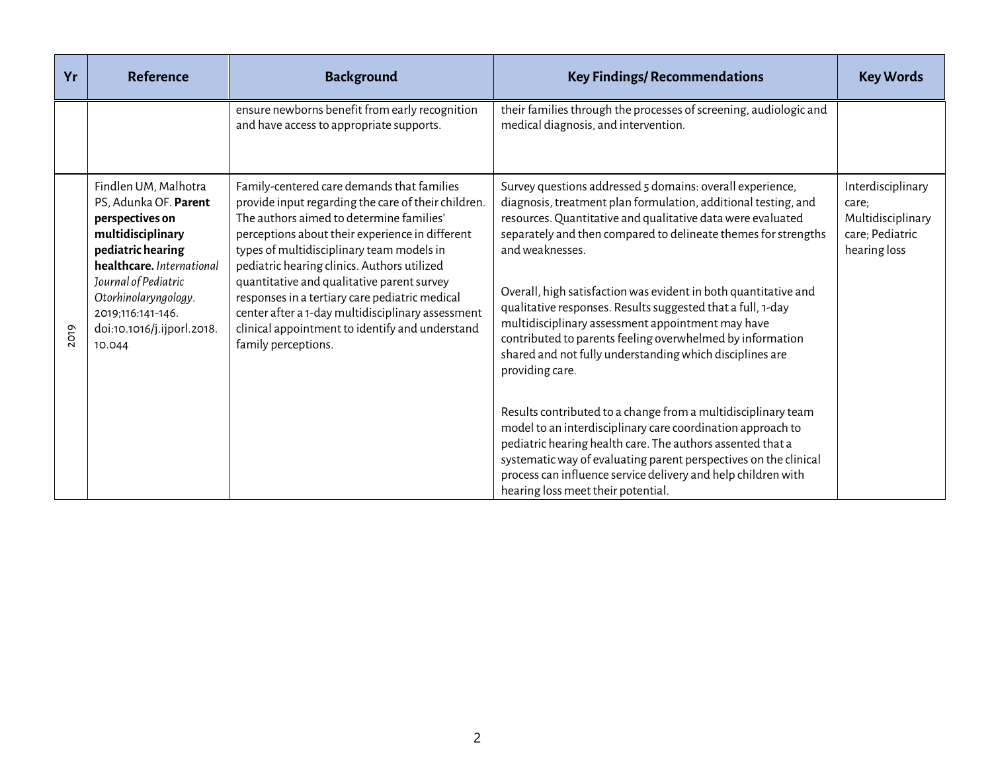| Yr   | <b>Reference</b>                                                                                                                                                                                                                                     | <b>Background</b>                                                                                                                                                                                                                                                                                                                                                                                                                                                                                                           | <b>Key Findings/ Recommendations</b>                                                                                                                                                                                                                                                                                                                                                                                                                                                                                                                                                                               | <b>Key Words</b>                                                                   |
|------|------------------------------------------------------------------------------------------------------------------------------------------------------------------------------------------------------------------------------------------------------|-----------------------------------------------------------------------------------------------------------------------------------------------------------------------------------------------------------------------------------------------------------------------------------------------------------------------------------------------------------------------------------------------------------------------------------------------------------------------------------------------------------------------------|--------------------------------------------------------------------------------------------------------------------------------------------------------------------------------------------------------------------------------------------------------------------------------------------------------------------------------------------------------------------------------------------------------------------------------------------------------------------------------------------------------------------------------------------------------------------------------------------------------------------|------------------------------------------------------------------------------------|
|      |                                                                                                                                                                                                                                                      | ensure newborns benefit from early recognition<br>and have access to appropriate supports.                                                                                                                                                                                                                                                                                                                                                                                                                                  | their families through the processes of screening, audiologic and<br>medical diagnosis, and intervention.                                                                                                                                                                                                                                                                                                                                                                                                                                                                                                          |                                                                                    |
| 2019 | Findlen UM, Malhotra<br>PS, Adunka OF. Parent<br>perspectives on<br>multidisciplinary<br>pediatric hearing<br>healthcare. International<br>Journal of Pediatric<br>Otorhinolaryngology.<br>2019;116:141-146.<br>doi:10.1016/j.ijporl.2018.<br>10.044 | Family-centered care demands that families<br>provide input regarding the care of their children.<br>The authors aimed to determine families'<br>perceptions about their experience in different<br>types of multidisciplinary team models in<br>pediatric hearing clinics. Authors utilized<br>quantitative and qualitative parent survey<br>responses in a tertiary care pediatric medical<br>center after a 1-day multidisciplinary assessment<br>clinical appointment to identify and understand<br>family perceptions. | Survey questions addressed 5 domains: overall experience,<br>diagnosis, treatment plan formulation, additional testing, and<br>resources. Quantitative and qualitative data were evaluated<br>separately and then compared to delineate themes for strengths<br>and weaknesses.<br>Overall, high satisfaction was evident in both quantitative and<br>qualitative responses. Results suggested that a full, 1-day<br>multidisciplinary assessment appointment may have<br>contributed to parents feeling overwhelmed by information<br>shared and not fully understanding which disciplines are<br>providing care. | Interdisciplinary<br>care;<br>Multidisciplinary<br>care; Pediatric<br>hearing loss |
|      |                                                                                                                                                                                                                                                      |                                                                                                                                                                                                                                                                                                                                                                                                                                                                                                                             | Results contributed to a change from a multidisciplinary team<br>model to an interdisciplinary care coordination approach to<br>pediatric hearing health care. The authors assented that a<br>systematic way of evaluating parent perspectives on the clinical<br>process can influence service delivery and help children with<br>hearing loss meet their potential.                                                                                                                                                                                                                                              |                                                                                    |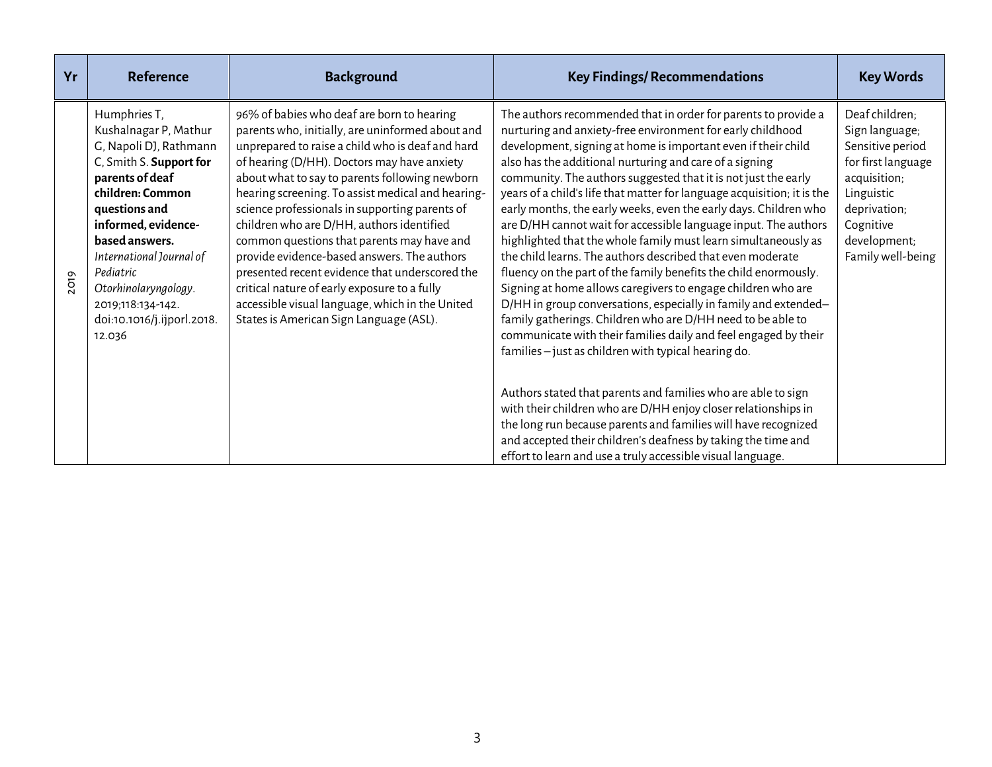| Yr   | <b>Reference</b>                                                                                                                                                                                                                                                                                                          | <b>Background</b>                                                                                                                                                                                                                                                                                                                                                                                                                                                                                                                                                                                                                                                                                    | <b>Key Findings/ Recommendations</b>                                                                                                                                                                                                                                                                                                                                                                                                                                                                                                                                                                                                                                                                                                                                                                                                                                                                                                                                                                                                                                                                                                                                                                                                                                                                                                                                                                               | <b>Key Words</b>                                                                                                                                                           |
|------|---------------------------------------------------------------------------------------------------------------------------------------------------------------------------------------------------------------------------------------------------------------------------------------------------------------------------|------------------------------------------------------------------------------------------------------------------------------------------------------------------------------------------------------------------------------------------------------------------------------------------------------------------------------------------------------------------------------------------------------------------------------------------------------------------------------------------------------------------------------------------------------------------------------------------------------------------------------------------------------------------------------------------------------|--------------------------------------------------------------------------------------------------------------------------------------------------------------------------------------------------------------------------------------------------------------------------------------------------------------------------------------------------------------------------------------------------------------------------------------------------------------------------------------------------------------------------------------------------------------------------------------------------------------------------------------------------------------------------------------------------------------------------------------------------------------------------------------------------------------------------------------------------------------------------------------------------------------------------------------------------------------------------------------------------------------------------------------------------------------------------------------------------------------------------------------------------------------------------------------------------------------------------------------------------------------------------------------------------------------------------------------------------------------------------------------------------------------------|----------------------------------------------------------------------------------------------------------------------------------------------------------------------------|
| 2019 | Humphries T,<br>Kushalnagar P, Mathur<br>G, Napoli DJ, Rathmann<br>C, Smith S. Support for<br>parents of deaf<br>children: Common<br>questions and<br>informed, evidence-<br>based answers.<br>International Journal of<br>Pediatric<br>Otorhinolaryngology.<br>2019;118:134-142.<br>doi:10.1016/j.ijporl.2018.<br>12.036 | 96% of babies who deaf are born to hearing<br>parents who, initially, are uninformed about and<br>unprepared to raise a child who is deaf and hard<br>of hearing (D/HH). Doctors may have anxiety<br>about what to say to parents following newborn<br>hearing screening. To assist medical and hearing-<br>science professionals in supporting parents of<br>children who are D/HH, authors identified<br>common questions that parents may have and<br>provide evidence-based answers. The authors<br>presented recent evidence that underscored the<br>critical nature of early exposure to a fully<br>accessible visual language, which in the United<br>States is American Sign Language (ASL). | The authors recommended that in order for parents to provide a<br>nurturing and anxiety-free environment for early childhood<br>development, signing at home is important even if their child<br>also has the additional nurturing and care of a signing<br>community. The authors suggested that it is not just the early<br>years of a child's life that matter for language acquisition; it is the<br>early months, the early weeks, even the early days. Children who<br>are D/HH cannot wait for accessible language input. The authors<br>highlighted that the whole family must learn simultaneously as<br>the child learns. The authors described that even moderate<br>fluency on the part of the family benefits the child enormously.<br>Signing at home allows caregivers to engage children who are<br>D/HH in group conversations, especially in family and extended-<br>family gatherings. Children who are D/HH need to be able to<br>communicate with their families daily and feel engaged by their<br>families - just as children with typical hearing do.<br>Authors stated that parents and families who are able to sign<br>with their children who are D/HH enjoy closer relationships in<br>the long run because parents and families will have recognized<br>and accepted their children's deafness by taking the time and<br>effort to learn and use a truly accessible visual language. | Deaf children;<br>Sign language;<br>Sensitive period<br>for first language<br>acquisition;<br>Linguistic<br>deprivation;<br>Cognitive<br>development;<br>Family well-being |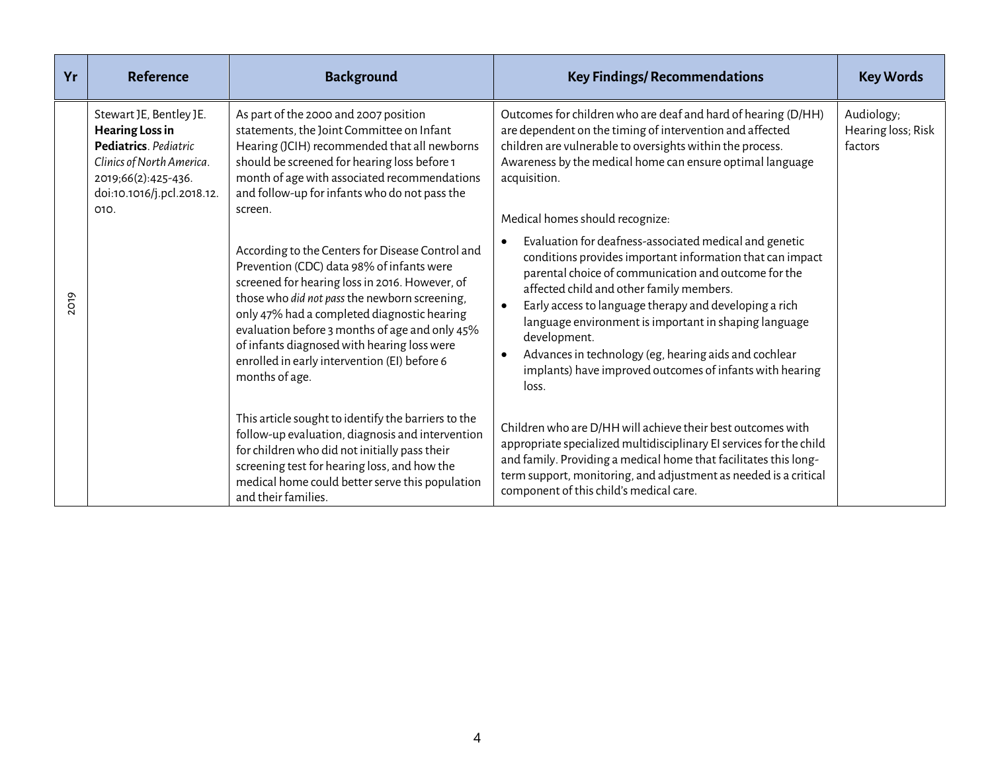| Yr   | <b>Reference</b>                                                                                                                                                     | <b>Background</b>                                                                                                                                                                                                                                                                                                                                                                                                  | <b>Key Findings/ Recommendations</b>                                                                                                                                                                                                                                                                                                                                                                                                                                                                  | <b>Key Words</b>                            |
|------|----------------------------------------------------------------------------------------------------------------------------------------------------------------------|--------------------------------------------------------------------------------------------------------------------------------------------------------------------------------------------------------------------------------------------------------------------------------------------------------------------------------------------------------------------------------------------------------------------|-------------------------------------------------------------------------------------------------------------------------------------------------------------------------------------------------------------------------------------------------------------------------------------------------------------------------------------------------------------------------------------------------------------------------------------------------------------------------------------------------------|---------------------------------------------|
| 2019 | Stewart JE, Bentley JE.<br><b>Hearing Loss in</b><br>Pediatrics. Pediatric<br>Clinics of North America.<br>2019;66(2):425-436.<br>doi:10.1016/j.pcl.2018.12.<br>010. | As part of the 2000 and 2007 position<br>statements, the Joint Committee on Infant<br>Hearing (JCIH) recommended that all newborns<br>should be screened for hearing loss before 1<br>month of age with associated recommendations<br>and follow-up for infants who do not pass the<br>screen.                                                                                                                     | Outcomes for children who are deaf and hard of hearing (D/HH)<br>are dependent on the timing of intervention and affected<br>children are vulnerable to oversights within the process.<br>Awareness by the medical home can ensure optimal language<br>acquisition.<br>Medical homes should recognize:                                                                                                                                                                                                | Audiology;<br>Hearing loss; Risk<br>factors |
|      |                                                                                                                                                                      | According to the Centers for Disease Control and<br>Prevention (CDC) data 98% of infants were<br>screened for hearing loss in 2016. However, of<br>those who did not pass the newborn screening,<br>only 47% had a completed diagnostic hearing<br>evaluation before 3 months of age and only 45%<br>of infants diagnosed with hearing loss were<br>enrolled in early intervention (EI) before 6<br>months of age. | Evaluation for deafness-associated medical and genetic<br>conditions provides important information that can impact<br>parental choice of communication and outcome for the<br>affected child and other family members.<br>Early access to language therapy and developing a rich<br>language environment is important in shaping language<br>development.<br>Advances in technology (eg, hearing aids and cochlear<br>$\bullet$<br>implants) have improved outcomes of infants with hearing<br>loss. |                                             |
|      |                                                                                                                                                                      | This article sought to identify the barriers to the<br>follow-up evaluation, diagnosis and intervention<br>for children who did not initially pass their<br>screening test for hearing loss, and how the<br>medical home could better serve this population<br>and their families.                                                                                                                                 | Children who are D/HH will achieve their best outcomes with<br>appropriate specialized multidisciplinary EI services for the child<br>and family. Providing a medical home that facilitates this long-<br>term support, monitoring, and adjustment as needed is a critical<br>component of this child's medical care.                                                                                                                                                                                 |                                             |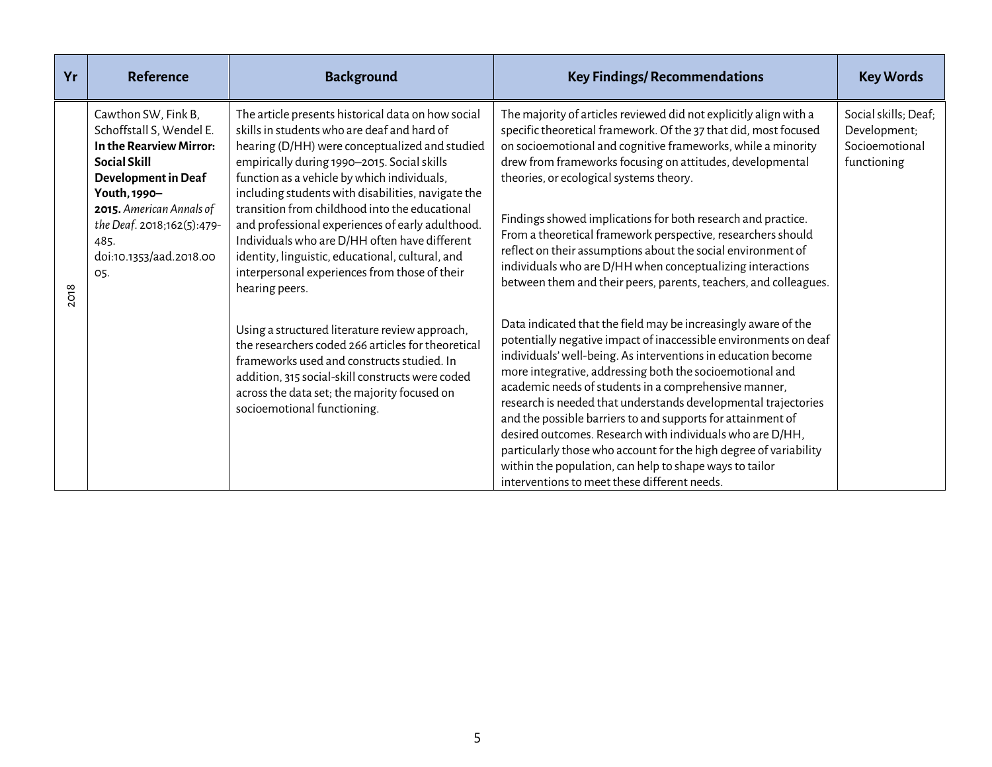| Yr   | <b>Reference</b>                                                                                                                                                                                                                      | <b>Background</b>                                                                                                                                                                                                                                                                                                                                                                                                                                                                                                                                                                     | <b>Key Findings/ Recommendations</b>                                                                                                                                                                                                                                                                                                                                                                                                                                                                                                                                                                                                                                                                   | <b>Key Words</b>                                                      |
|------|---------------------------------------------------------------------------------------------------------------------------------------------------------------------------------------------------------------------------------------|---------------------------------------------------------------------------------------------------------------------------------------------------------------------------------------------------------------------------------------------------------------------------------------------------------------------------------------------------------------------------------------------------------------------------------------------------------------------------------------------------------------------------------------------------------------------------------------|--------------------------------------------------------------------------------------------------------------------------------------------------------------------------------------------------------------------------------------------------------------------------------------------------------------------------------------------------------------------------------------------------------------------------------------------------------------------------------------------------------------------------------------------------------------------------------------------------------------------------------------------------------------------------------------------------------|-----------------------------------------------------------------------|
| 2018 | Cawthon SW, Fink B,<br>Schoffstall S, Wendel E.<br>In the Rearview Mirror:<br>Social Skill<br>Development in Deaf<br>Youth, 1990-<br>2015. American Annals of<br>the Deaf. 2018;162(5):479-<br>485.<br>doi:10.1353/aad.2018.00<br>05. | The article presents historical data on how social<br>skills in students who are deaf and hard of<br>hearing (D/HH) were conceptualized and studied<br>empirically during 1990-2015. Social skills<br>function as a vehicle by which individuals,<br>including students with disabilities, navigate the<br>transition from childhood into the educational<br>and professional experiences of early adulthood.<br>Individuals who are D/HH often have different<br>identity, linguistic, educational, cultural, and<br>interpersonal experiences from those of their<br>hearing peers. | The majority of articles reviewed did not explicitly align with a<br>specific theoretical framework. Of the 37 that did, most focused<br>on socioemotional and cognitive frameworks, while a minority<br>drew from frameworks focusing on attitudes, developmental<br>theories, or ecological systems theory.<br>Findings showed implications for both research and practice.<br>From a theoretical framework perspective, researchers should<br>reflect on their assumptions about the social environment of<br>individuals who are D/HH when conceptualizing interactions<br>between them and their peers, parents, teachers, and colleagues.                                                        | Social skills; Deaf;<br>Development;<br>Socioemotional<br>functioning |
|      |                                                                                                                                                                                                                                       | Using a structured literature review approach,<br>the researchers coded 266 articles for theoretical<br>frameworks used and constructs studied. In<br>addition, 315 social-skill constructs were coded<br>across the data set; the majority focused on<br>socioemotional functioning.                                                                                                                                                                                                                                                                                                 | Data indicated that the field may be increasingly aware of the<br>potentially negative impact of inaccessible environments on deaf<br>individuals' well-being. As interventions in education become<br>more integrative, addressing both the socioemotional and<br>academic needs of students in a comprehensive manner,<br>research is needed that understands developmental trajectories<br>and the possible barriers to and supports for attainment of<br>desired outcomes. Research with individuals who are D/HH,<br>particularly those who account for the high degree of variability<br>within the population, can help to shape ways to tailor<br>interventions to meet these different needs. |                                                                       |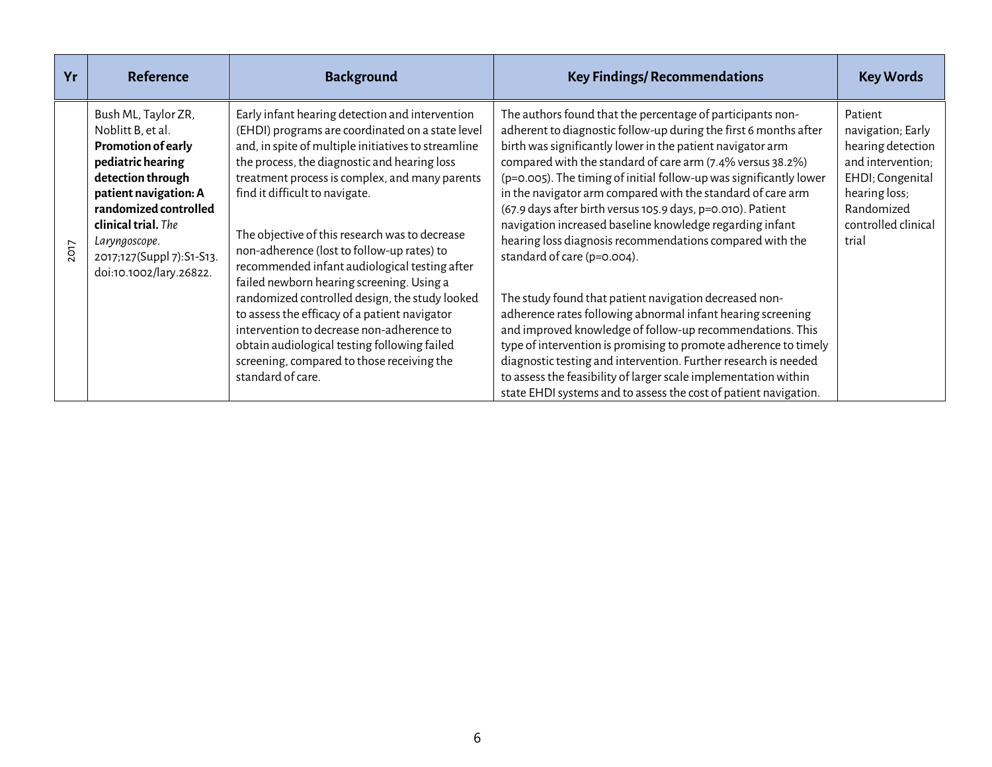| Yr   | <b>Reference</b>                                                                                                                                                                                                                                           | <b>Background</b>                                                                                                                                                                                                                                                                                                                                                                                                                                                                                                                                                                                                                                                                                                                                               | <b>Key Findings/ Recommendations</b>                                                                                                                                                                                                                                                                                                                                                                                                                                                                                                                                                                                                                                                                                                                                                                                                                                                                                                               | <b>Key Words</b>                                                                                                                                          |
|------|------------------------------------------------------------------------------------------------------------------------------------------------------------------------------------------------------------------------------------------------------------|-----------------------------------------------------------------------------------------------------------------------------------------------------------------------------------------------------------------------------------------------------------------------------------------------------------------------------------------------------------------------------------------------------------------------------------------------------------------------------------------------------------------------------------------------------------------------------------------------------------------------------------------------------------------------------------------------------------------------------------------------------------------|----------------------------------------------------------------------------------------------------------------------------------------------------------------------------------------------------------------------------------------------------------------------------------------------------------------------------------------------------------------------------------------------------------------------------------------------------------------------------------------------------------------------------------------------------------------------------------------------------------------------------------------------------------------------------------------------------------------------------------------------------------------------------------------------------------------------------------------------------------------------------------------------------------------------------------------------------|-----------------------------------------------------------------------------------------------------------------------------------------------------------|
| 2017 | Bush ML, Taylor ZR,<br>Noblitt B, et al.<br>Promotion of early<br>pediatric hearing<br>detection through<br>patient navigation: A<br>randomized controlled<br>clinical trial. The<br>Laryngoscope.<br>2017;127(Suppl 7):S1-S13.<br>doi:10.1002/lary.26822. | Early infant hearing detection and intervention<br>(EHDI) programs are coordinated on a state level<br>and, in spite of multiple initiatives to streamline<br>the process, the diagnostic and hearing loss<br>treatment process is complex, and many parents<br>find it difficult to navigate.<br>The objective of this research was to decrease<br>non-adherence (lost to follow-up rates) to<br>recommended infant audiological testing after<br>failed newborn hearing screening. Using a<br>randomized controlled design, the study looked<br>to assess the efficacy of a patient navigator<br>intervention to decrease non-adherence to<br>obtain audiological testing following failed<br>screening, compared to those receiving the<br>standard of care. | The authors found that the percentage of participants non-<br>adherent to diagnostic follow-up during the first 6 months after<br>birth was significantly lower in the patient navigator arm<br>compared with the standard of care arm (7.4% versus 38.2%)<br>(p=0.005). The timing of initial follow-up was significantly lower<br>in the navigator arm compared with the standard of care arm<br>(67.9 days after birth versus 105.9 days, p=0.010). Patient<br>navigation increased baseline knowledge regarding infant<br>hearing loss diagnosis recommendations compared with the<br>standard of care (p=0.004).<br>The study found that patient navigation decreased non-<br>adherence rates following abnormal infant hearing screening<br>and improved knowledge of follow-up recommendations. This<br>type of intervention is promising to promote adherence to timely<br>diagnostic testing and intervention. Further research is needed | Patient<br>navigation; Early<br>hearing detection<br>and intervention;<br>EHDI; Congenital<br>hearing loss;<br>Randomized<br>controlled clinical<br>trial |
|      |                                                                                                                                                                                                                                                            |                                                                                                                                                                                                                                                                                                                                                                                                                                                                                                                                                                                                                                                                                                                                                                 | to assess the feasibility of larger scale implementation within<br>state EHDI systems and to assess the cost of patient navigation.                                                                                                                                                                                                                                                                                                                                                                                                                                                                                                                                                                                                                                                                                                                                                                                                                |                                                                                                                                                           |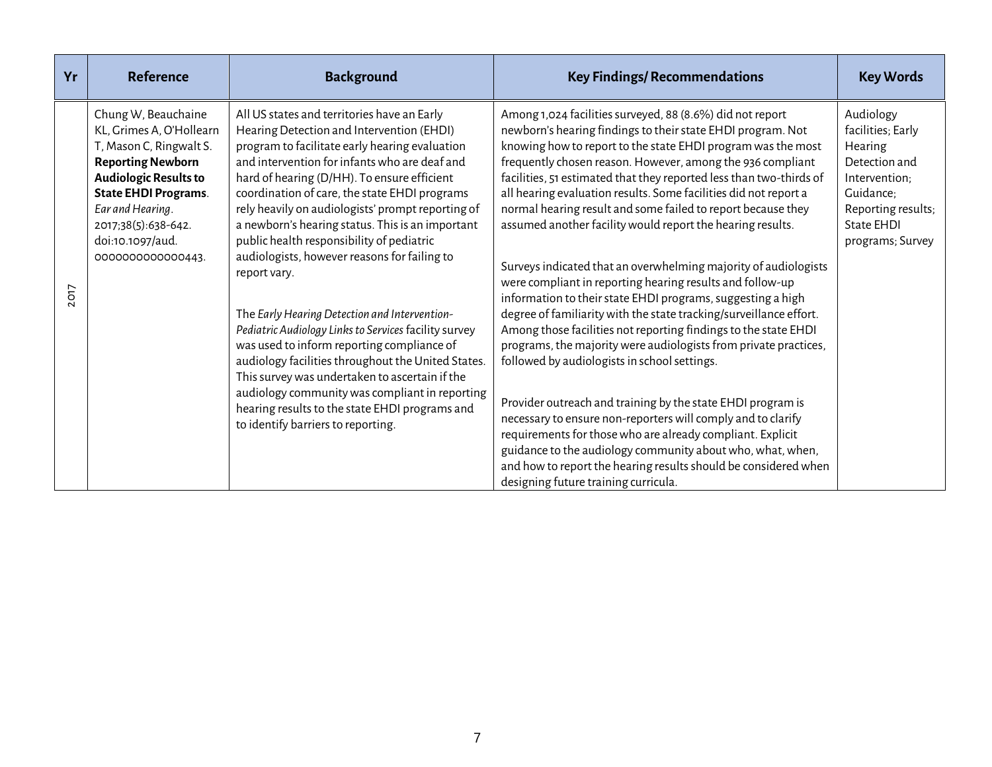| Yr   | <b>Reference</b>                                                                                                                                                                                                                                         | <b>Background</b>                                                                                                                                                                                                                                                                                                                                                                                                                                                                                                                                                                                                                                                                                                                                                                                                                                                                                                           | <b>Key Findings/ Recommendations</b>                                                                                                                                                                                                                                                                                                                                                                                                                                                                                                                                                                                                                                                                                                                                                                                                                                                                                                                                                                                                                                                                                                                                                                                                                                                                                                                              | <b>Key Words</b>                                                                                                                                 |
|------|----------------------------------------------------------------------------------------------------------------------------------------------------------------------------------------------------------------------------------------------------------|-----------------------------------------------------------------------------------------------------------------------------------------------------------------------------------------------------------------------------------------------------------------------------------------------------------------------------------------------------------------------------------------------------------------------------------------------------------------------------------------------------------------------------------------------------------------------------------------------------------------------------------------------------------------------------------------------------------------------------------------------------------------------------------------------------------------------------------------------------------------------------------------------------------------------------|-------------------------------------------------------------------------------------------------------------------------------------------------------------------------------------------------------------------------------------------------------------------------------------------------------------------------------------------------------------------------------------------------------------------------------------------------------------------------------------------------------------------------------------------------------------------------------------------------------------------------------------------------------------------------------------------------------------------------------------------------------------------------------------------------------------------------------------------------------------------------------------------------------------------------------------------------------------------------------------------------------------------------------------------------------------------------------------------------------------------------------------------------------------------------------------------------------------------------------------------------------------------------------------------------------------------------------------------------------------------|--------------------------------------------------------------------------------------------------------------------------------------------------|
| 2017 | Chung W, Beauchaine<br>KL, Grimes A, O'Hollearn<br>T, Mason C, Ringwalt S.<br><b>Reporting Newborn</b><br><b>Audiologic Results to</b><br><b>State EHDI Programs.</b><br>Ear and Hearing.<br>2017;38(5):638-642.<br>doi:10.1097/aud.<br>000000000000443. | All US states and territories have an Early<br>Hearing Detection and Intervention (EHDI)<br>program to facilitate early hearing evaluation<br>and intervention for infants who are deaf and<br>hard of hearing (D/HH). To ensure efficient<br>coordination of care, the state EHDI programs<br>rely heavily on audiologists' prompt reporting of<br>a newborn's hearing status. This is an important<br>public health responsibility of pediatric<br>audiologists, however reasons for failing to<br>report vary.<br>The Early Hearing Detection and Intervention-<br>Pediatric Audiology Links to Services facility survey<br>was used to inform reporting compliance of<br>audiology facilities throughout the United States.<br>This survey was undertaken to ascertain if the<br>audiology community was compliant in reporting<br>hearing results to the state EHDI programs and<br>to identify barriers to reporting. | Among 1,024 facilities surveyed, 88 (8.6%) did not report<br>newborn's hearing findings to their state EHDI program. Not<br>knowing how to report to the state EHDI program was the most<br>frequently chosen reason. However, among the 936 compliant<br>facilities, 51 estimated that they reported less than two-thirds of<br>all hearing evaluation results. Some facilities did not report a<br>normal hearing result and some failed to report because they<br>assumed another facility would report the hearing results.<br>Surveys indicated that an overwhelming majority of audiologists<br>were compliant in reporting hearing results and follow-up<br>information to their state EHDI programs, suggesting a high<br>degree of familiarity with the state tracking/surveillance effort.<br>Among those facilities not reporting findings to the state EHDI<br>programs, the majority were audiologists from private practices,<br>followed by audiologists in school settings.<br>Provider outreach and training by the state EHDI program is<br>necessary to ensure non-reporters will comply and to clarify<br>requirements for those who are already compliant. Explicit<br>guidance to the audiology community about who, what, when,<br>and how to report the hearing results should be considered when<br>designing future training curricula. | Audiology<br>facilities; Early<br>Hearing<br>Detection and<br>Intervention:<br>Guidance;<br>Reporting results;<br>State EHDI<br>programs; Survey |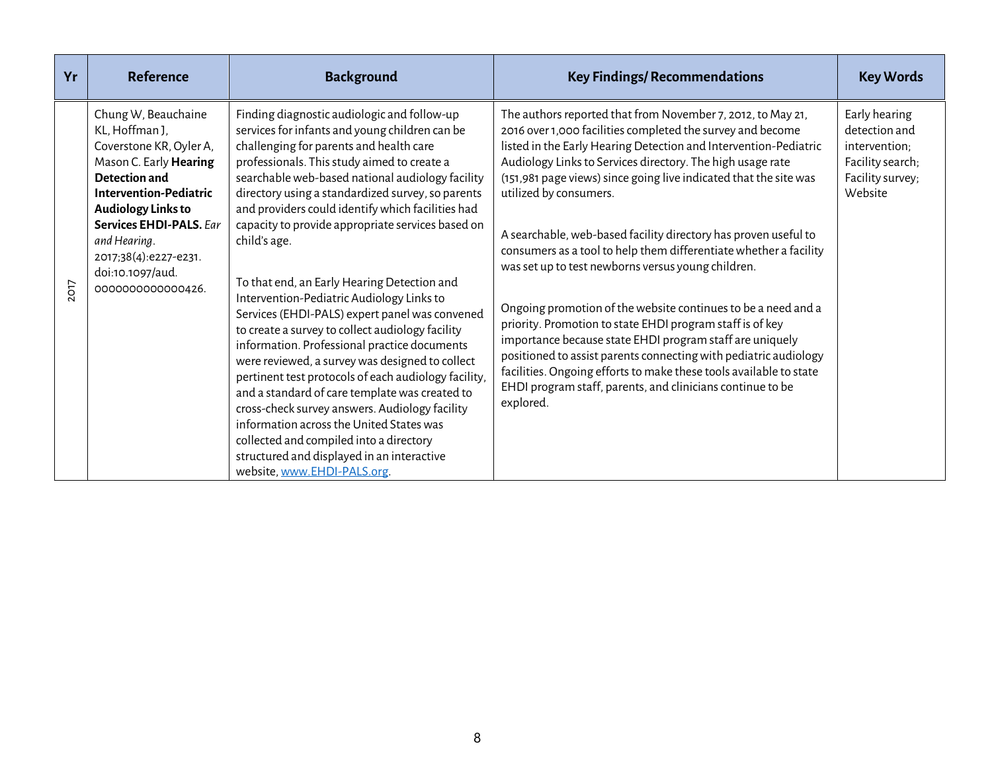| Yr   | <b>Reference</b>                                                                                                                                                                                                                                                                      | <b>Background</b>                                                                                                                                                                                                                                                                                                                                                                                                                                                                                                                                                                                                                                                                                                                                                                                                                                                                                                                                                                                                                                               | <b>Key Findings/ Recommendations</b>                                                                                                                                                                                                                                                                                                                                                                                                                                                                                                                                                                                                                                                                                                                                                                                                                                                                                                                                    | <b>Key Words</b>                                                                                   |
|------|---------------------------------------------------------------------------------------------------------------------------------------------------------------------------------------------------------------------------------------------------------------------------------------|-----------------------------------------------------------------------------------------------------------------------------------------------------------------------------------------------------------------------------------------------------------------------------------------------------------------------------------------------------------------------------------------------------------------------------------------------------------------------------------------------------------------------------------------------------------------------------------------------------------------------------------------------------------------------------------------------------------------------------------------------------------------------------------------------------------------------------------------------------------------------------------------------------------------------------------------------------------------------------------------------------------------------------------------------------------------|-------------------------------------------------------------------------------------------------------------------------------------------------------------------------------------------------------------------------------------------------------------------------------------------------------------------------------------------------------------------------------------------------------------------------------------------------------------------------------------------------------------------------------------------------------------------------------------------------------------------------------------------------------------------------------------------------------------------------------------------------------------------------------------------------------------------------------------------------------------------------------------------------------------------------------------------------------------------------|----------------------------------------------------------------------------------------------------|
| 2017 | Chung W, Beauchaine<br>KL, Hoffman J,<br>Coverstone KR, Oyler A,<br>Mason C. Early Hearing<br>Detection and<br><b>Intervention-Pediatric</b><br><b>Audiology Links to</b><br>Services EHDI-PALS, Far<br>and Hearing.<br>2017;38(4):e227-e231.<br>doi:10.1097/aud.<br>000000000000426. | Finding diagnostic audiologic and follow-up<br>services for infants and young children can be<br>challenging for parents and health care<br>professionals. This study aimed to create a<br>searchable web-based national audiology facility<br>directory using a standardized survey, so parents<br>and providers could identify which facilities had<br>capacity to provide appropriate services based on<br>child's age.<br>To that end, an Early Hearing Detection and<br>Intervention-Pediatric Audiology Links to<br>Services (EHDI-PALS) expert panel was convened<br>to create a survey to collect audiology facility<br>information. Professional practice documents<br>were reviewed, a survey was designed to collect<br>pertinent test protocols of each audiology facility,<br>and a standard of care template was created to<br>cross-check survey answers. Audiology facility<br>information across the United States was<br>collected and compiled into a directory<br>structured and displayed in an interactive<br>website, www.EHDI-PALS.org. | The authors reported that from November 7, 2012, to May 21,<br>2016 over 1,000 facilities completed the survey and become<br>listed in the Early Hearing Detection and Intervention-Pediatric<br>Audiology Links to Services directory. The high usage rate<br>(151,981 page views) since going live indicated that the site was<br>utilized by consumers.<br>A searchable, web-based facility directory has proven useful to<br>consumers as a tool to help them differentiate whether a facility<br>was set up to test newborns versus young children.<br>Ongoing promotion of the website continues to be a need and a<br>priority. Promotion to state EHDI program staff is of key<br>importance because state EHDI program staff are uniquely<br>positioned to assist parents connecting with pediatric audiology<br>facilities. Ongoing efforts to make these tools available to state<br>EHDI program staff, parents, and clinicians continue to be<br>explored. | Early hearing<br>detection and<br>intervention;<br>Facility search;<br>Facility survey;<br>Website |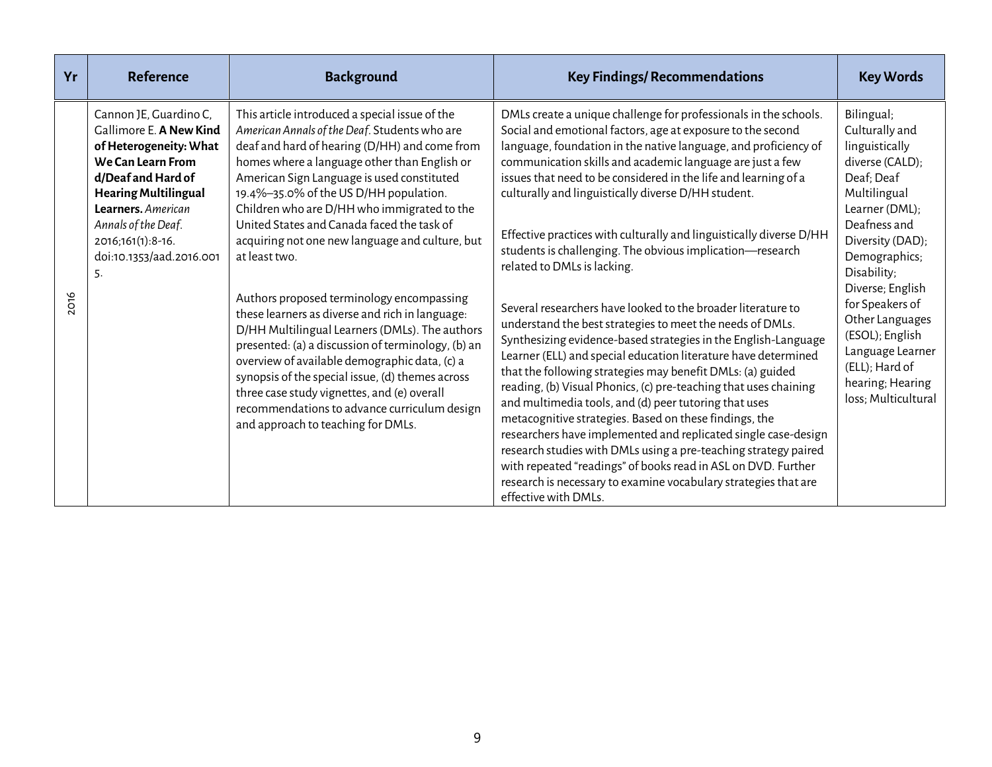| Yr   | <b>Reference</b>                                                                                                                                                                                                                                          | <b>Background</b>                                                                                                                                                                                                                                                                                                                                                                                                                                                                                                                                                                                                                                                                                                                                                                                                                                                                                           | <b>Key Findings/ Recommendations</b>                                                                                                                                                                                                                                                                                                                                                                                                                                                                                                                                                                                                                                                                                                                                                                                                                                                                                                                                                                                                                                                                                                                                                                                                                                                                                                                                                | <b>Key Words</b>                                                                                                                                                                                                                                                                                                                                    |
|------|-----------------------------------------------------------------------------------------------------------------------------------------------------------------------------------------------------------------------------------------------------------|-------------------------------------------------------------------------------------------------------------------------------------------------------------------------------------------------------------------------------------------------------------------------------------------------------------------------------------------------------------------------------------------------------------------------------------------------------------------------------------------------------------------------------------------------------------------------------------------------------------------------------------------------------------------------------------------------------------------------------------------------------------------------------------------------------------------------------------------------------------------------------------------------------------|-------------------------------------------------------------------------------------------------------------------------------------------------------------------------------------------------------------------------------------------------------------------------------------------------------------------------------------------------------------------------------------------------------------------------------------------------------------------------------------------------------------------------------------------------------------------------------------------------------------------------------------------------------------------------------------------------------------------------------------------------------------------------------------------------------------------------------------------------------------------------------------------------------------------------------------------------------------------------------------------------------------------------------------------------------------------------------------------------------------------------------------------------------------------------------------------------------------------------------------------------------------------------------------------------------------------------------------------------------------------------------------|-----------------------------------------------------------------------------------------------------------------------------------------------------------------------------------------------------------------------------------------------------------------------------------------------------------------------------------------------------|
| 2016 | Cannon JE, Guardino C,<br>Gallimore E. A New Kind<br>of Heterogeneity: What<br>We Can Learn From<br>d/Deaf and Hard of<br><b>Hearing Multilingual</b><br>Learners. American<br>Annals of the Deaf.<br>2016;161(1):8-16.<br>doi:10.1353/aad.2016.001<br>5. | This article introduced a special issue of the<br>American Annals of the Deaf. Students who are<br>deaf and hard of hearing (D/HH) and come from<br>homes where a language other than English or<br>American Sign Language is used constituted<br>19.4%-35.0% of the US D/HH population.<br>Children who are D/HH who immigrated to the<br>United States and Canada faced the task of<br>acquiring not one new language and culture, but<br>at least two.<br>Authors proposed terminology encompassing<br>these learners as diverse and rich in language:<br>D/HH Multilingual Learners (DMLs). The authors<br>presented: (a) a discussion of terminology, (b) an<br>overview of available demographic data, (c) a<br>synopsis of the special issue, (d) themes across<br>three case study vignettes, and (e) overall<br>recommendations to advance curriculum design<br>and approach to teaching for DMLs. | DMLs create a unique challenge for professionals in the schools.<br>Social and emotional factors, age at exposure to the second<br>language, foundation in the native language, and proficiency of<br>communication skills and academic language are just a few<br>issues that need to be considered in the life and learning of a<br>culturally and linguistically diverse D/HH student.<br>Effective practices with culturally and linguistically diverse D/HH<br>students is challenging. The obvious implication-research<br>related to DMLs is lacking.<br>Several researchers have looked to the broader literature to<br>understand the best strategies to meet the needs of DMLs.<br>Synthesizing evidence-based strategies in the English-Language<br>Learner (ELL) and special education literature have determined<br>that the following strategies may benefit DMLs: (a) guided<br>reading, (b) Visual Phonics, (c) pre-teaching that uses chaining<br>and multimedia tools, and (d) peer tutoring that uses<br>metacognitive strategies. Based on these findings, the<br>researchers have implemented and replicated single case-design<br>research studies with DMLs using a pre-teaching strategy paired<br>with repeated "readings" of books read in ASL on DVD. Further<br>research is necessary to examine vocabulary strategies that are<br>effective with DMLs. | Bilingual;<br>Culturally and<br>linguistically<br>diverse (CALD);<br>Deaf; Deaf<br>Multilingual<br>Learner (DML);<br>Deafness and<br>Diversity (DAD);<br>Demographics;<br>Disability;<br>Diverse; English<br>for Speakers of<br>Other Languages<br>(ESOL); English<br>Language Learner<br>(ELL); Hard of<br>hearing; Hearing<br>loss; Multicultural |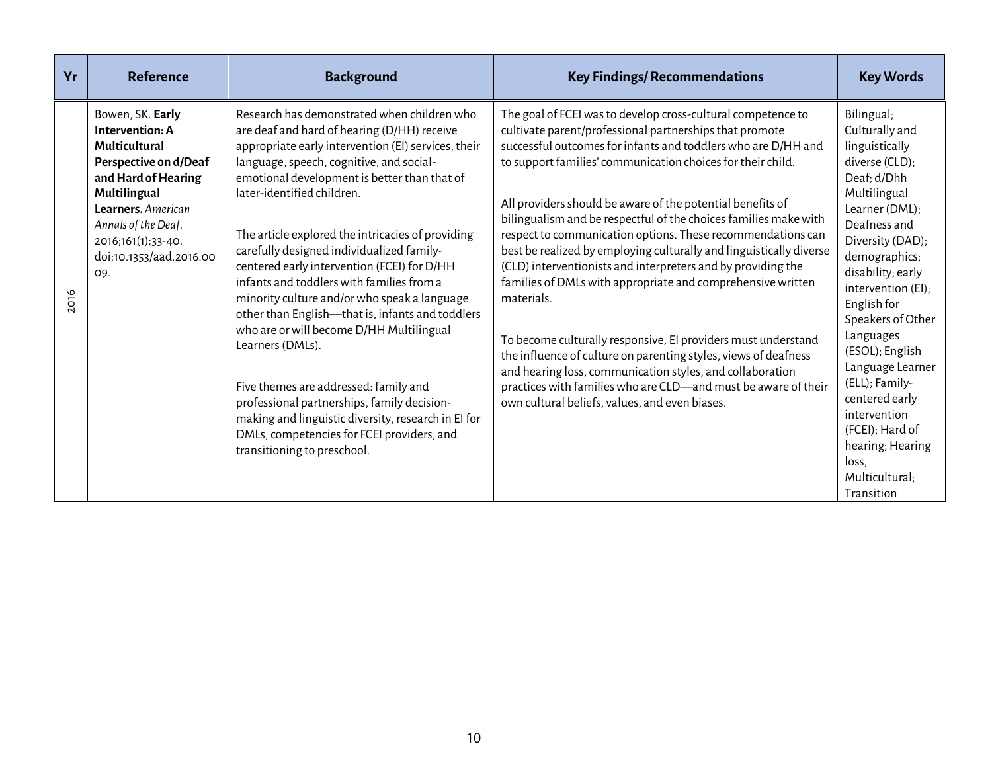| Yr   | <b>Reference</b>                                                                                                                                                                                                          | <b>Background</b>                                                                                                                                                                                                                                                                                                                                                                                                                                                                                                                                                                                                                                                                                                                                                                                                                                                         | <b>Key Findings/ Recommendations</b>                                                                                                                                                                                                                                                                                                                                                                                                                                                                                                                                                                                                                                                                                                                                                                                                                                                                                                                                                              | <b>Key Words</b>                                                                                                                                                                                                                                                                                                                                                                                                                              |
|------|---------------------------------------------------------------------------------------------------------------------------------------------------------------------------------------------------------------------------|---------------------------------------------------------------------------------------------------------------------------------------------------------------------------------------------------------------------------------------------------------------------------------------------------------------------------------------------------------------------------------------------------------------------------------------------------------------------------------------------------------------------------------------------------------------------------------------------------------------------------------------------------------------------------------------------------------------------------------------------------------------------------------------------------------------------------------------------------------------------------|---------------------------------------------------------------------------------------------------------------------------------------------------------------------------------------------------------------------------------------------------------------------------------------------------------------------------------------------------------------------------------------------------------------------------------------------------------------------------------------------------------------------------------------------------------------------------------------------------------------------------------------------------------------------------------------------------------------------------------------------------------------------------------------------------------------------------------------------------------------------------------------------------------------------------------------------------------------------------------------------------|-----------------------------------------------------------------------------------------------------------------------------------------------------------------------------------------------------------------------------------------------------------------------------------------------------------------------------------------------------------------------------------------------------------------------------------------------|
| 2016 | Bowen, SK. Early<br>Intervention: A<br>Multicultural<br>Perspective on d/Deaf<br>and Hard of Hearing<br>Multilingual<br>Learners. American<br>Annals of the Deaf.<br>2016;161(1):33-40.<br>doi:10.1353/aad.2016.00<br>09. | Research has demonstrated when children who<br>are deaf and hard of hearing (D/HH) receive<br>appropriate early intervention (EI) services, their<br>language, speech, cognitive, and social-<br>emotional development is better than that of<br>later-identified children.<br>The article explored the intricacies of providing<br>carefully designed individualized family-<br>centered early intervention (FCEI) for D/HH<br>infants and toddlers with families from a<br>minority culture and/or who speak a language<br>other than English-that is, infants and toddlers<br>who are or will become D/HH Multilingual<br>Learners (DMLs).<br>Five themes are addressed: family and<br>professional partnerships, family decision-<br>making and linguistic diversity, research in El for<br>DMLs, competencies for FCEI providers, and<br>transitioning to preschool. | The goal of FCEI was to develop cross-cultural competence to<br>cultivate parent/professional partnerships that promote<br>successful outcomes for infants and toddlers who are D/HH and<br>to support families' communication choices for their child.<br>All providers should be aware of the potential benefits of<br>bilingualism and be respectful of the choices families make with<br>respect to communication options. These recommendations can<br>best be realized by employing culturally and linguistically diverse<br>(CLD) interventionists and interpreters and by providing the<br>families of DMLs with appropriate and comprehensive written<br>materials.<br>To become culturally responsive, EI providers must understand<br>the influence of culture on parenting styles, views of deafness<br>and hearing loss, communication styles, and collaboration<br>practices with families who are CLD-and must be aware of their<br>own cultural beliefs, values, and even biases. | Bilingual;<br>Culturally and<br>linguistically<br>diverse (CLD);<br>Deaf; d/Dhh<br>Multilingual<br>Learner (DML);<br>Deafness and<br>Diversity (DAD);<br>demographics;<br>disability; early<br>intervention (EI);<br>English for<br>Speakers of Other<br>Languages<br>(ESOL); English<br>Language Learner<br>(ELL); Family-<br>centered early<br>intervention<br>(FCEI); Hard of<br>hearing; Hearing<br>loss,<br>Multicultural;<br>Transition |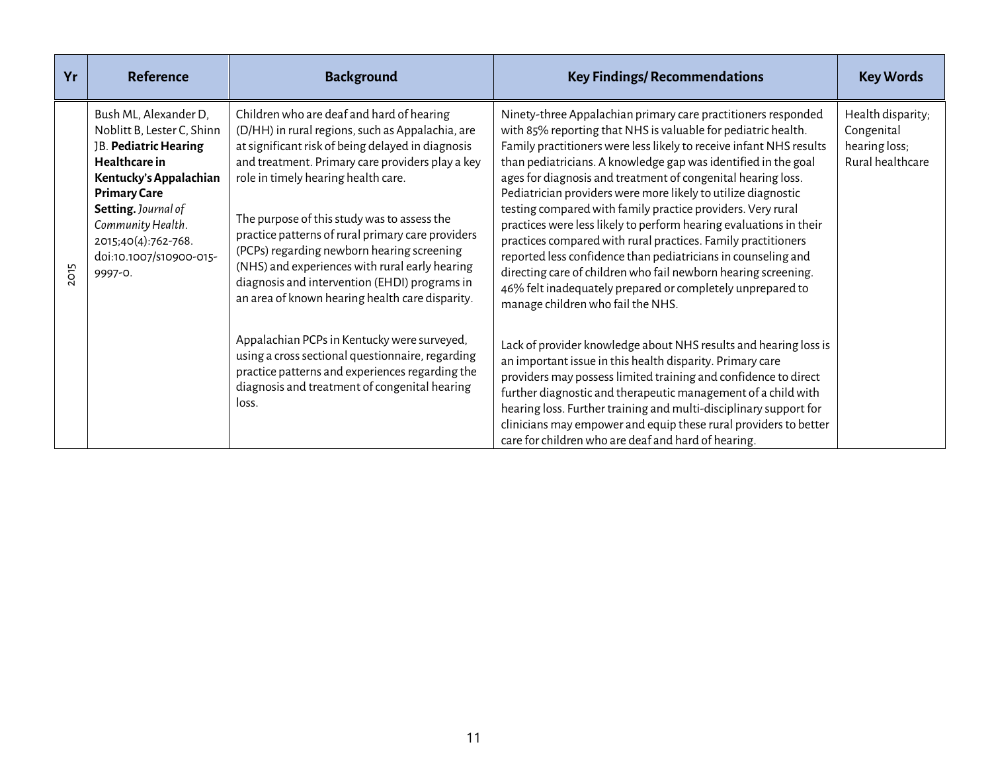| Yr   | <b>Reference</b>                                                                                                                                                                                                                                        | <b>Background</b>                                                                                                                                                                                                                                                                                                                                                                                                                                                                                                                                                                                                                                                                                                                                                     | <b>Key Findings/ Recommendations</b>                                                                                                                                                                                                                                                                                                                                                                                                                                                                                                                                                                                                                                                                                                                                                                                                                                                                                                                                                                                                                                                                                                                                                                                                                                                                                      | <b>Key Words</b>                                                     |
|------|---------------------------------------------------------------------------------------------------------------------------------------------------------------------------------------------------------------------------------------------------------|-----------------------------------------------------------------------------------------------------------------------------------------------------------------------------------------------------------------------------------------------------------------------------------------------------------------------------------------------------------------------------------------------------------------------------------------------------------------------------------------------------------------------------------------------------------------------------------------------------------------------------------------------------------------------------------------------------------------------------------------------------------------------|---------------------------------------------------------------------------------------------------------------------------------------------------------------------------------------------------------------------------------------------------------------------------------------------------------------------------------------------------------------------------------------------------------------------------------------------------------------------------------------------------------------------------------------------------------------------------------------------------------------------------------------------------------------------------------------------------------------------------------------------------------------------------------------------------------------------------------------------------------------------------------------------------------------------------------------------------------------------------------------------------------------------------------------------------------------------------------------------------------------------------------------------------------------------------------------------------------------------------------------------------------------------------------------------------------------------------|----------------------------------------------------------------------|
| 2015 | Bush ML, Alexander D,<br>Noblitt B, Lester C, Shinn<br>JB. Pediatric Hearing<br>Healthcare in<br>Kentucky's Appalachian<br><b>Primary Care</b><br>Setting. Journal of<br>Community Health.<br>2015;40(4):762-768.<br>doi:10.1007/s10900-015-<br>9997-0. | Children who are deaf and hard of hearing<br>(D/HH) in rural regions, such as Appalachia, are<br>at significant risk of being delayed in diagnosis<br>and treatment. Primary care providers play a key<br>role in timely hearing health care.<br>The purpose of this study was to assess the<br>practice patterns of rural primary care providers<br>(PCPs) regarding newborn hearing screening<br>(NHS) and experiences with rural early hearing<br>diagnosis and intervention (EHDI) programs in<br>an area of known hearing health care disparity.<br>Appalachian PCPs in Kentucky were surveyed,<br>using a cross sectional questionnaire, regarding<br>practice patterns and experiences regarding the<br>diagnosis and treatment of congenital hearing<br>loss. | Ninety-three Appalachian primary care practitioners responded<br>with 85% reporting that NHS is valuable for pediatric health.<br>Family practitioners were less likely to receive infant NHS results<br>than pediatricians. A knowledge gap was identified in the goal<br>ages for diagnosis and treatment of congenital hearing loss.<br>Pediatrician providers were more likely to utilize diagnostic<br>testing compared with family practice providers. Very rural<br>practices were less likely to perform hearing evaluations in their<br>practices compared with rural practices. Family practitioners<br>reported less confidence than pediatricians in counseling and<br>directing care of children who fail newborn hearing screening.<br>46% felt inadequately prepared or completely unprepared to<br>manage children who fail the NHS.<br>Lack of provider knowledge about NHS results and hearing loss is<br>an important issue in this health disparity. Primary care<br>providers may possess limited training and confidence to direct<br>further diagnostic and therapeutic management of a child with<br>hearing loss. Further training and multi-disciplinary support for<br>clinicians may empower and equip these rural providers to better<br>care for children who are deaf and hard of hearing. | Health disparity;<br>Congenital<br>hearing loss;<br>Rural healthcare |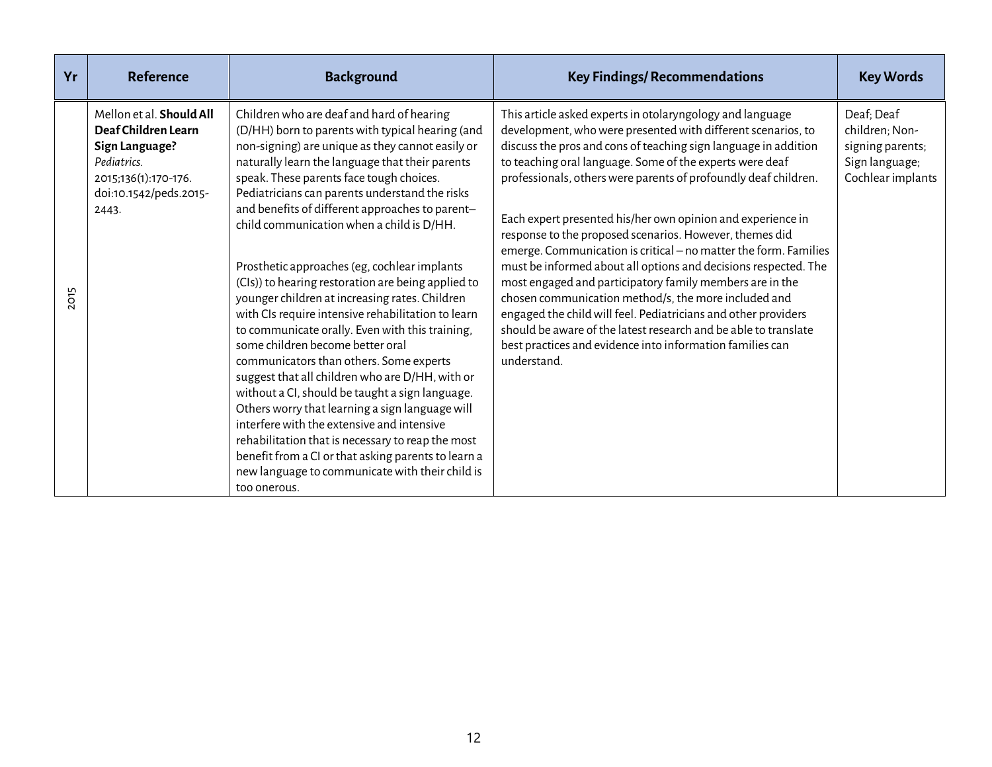| Yr         | Reference                                                                                                                                          | <b>Background</b>                                                                                                                                                                                                                                                                                                                                                                                                                                                                                                                                                                                                                                                                                                                                                                                                                                                                                                                                                                                                                                                                                                                        | <b>Key Findings/ Recommendations</b>                                                                                                                                                                                                                                                                                                                                                                                                                                                                                                                                                                                                                                                                                                                                                                                                                                                                                              | <b>Key Words</b>                                                                        |
|------------|----------------------------------------------------------------------------------------------------------------------------------------------------|------------------------------------------------------------------------------------------------------------------------------------------------------------------------------------------------------------------------------------------------------------------------------------------------------------------------------------------------------------------------------------------------------------------------------------------------------------------------------------------------------------------------------------------------------------------------------------------------------------------------------------------------------------------------------------------------------------------------------------------------------------------------------------------------------------------------------------------------------------------------------------------------------------------------------------------------------------------------------------------------------------------------------------------------------------------------------------------------------------------------------------------|-----------------------------------------------------------------------------------------------------------------------------------------------------------------------------------------------------------------------------------------------------------------------------------------------------------------------------------------------------------------------------------------------------------------------------------------------------------------------------------------------------------------------------------------------------------------------------------------------------------------------------------------------------------------------------------------------------------------------------------------------------------------------------------------------------------------------------------------------------------------------------------------------------------------------------------|-----------------------------------------------------------------------------------------|
| <b>OT5</b> | Mellon et al. <b>Should All</b><br>Deaf Children Learn<br>Sign Language?<br>Pediatrics.<br>2015;136(1):170-176.<br>doi:10.1542/peds.2015-<br>2443. | Children who are deaf and hard of hearing<br>(D/HH) born to parents with typical hearing (and<br>non-signing) are unique as they cannot easily or<br>naturally learn the language that their parents<br>speak. These parents face tough choices.<br>Pediatricians can parents understand the risks<br>and benefits of different approaches to parent-<br>child communication when a child is D/HH.<br>Prosthetic approaches (eg, cochlear implants<br>(CIs)) to hearing restoration are being applied to<br>younger children at increasing rates. Children<br>with CIs require intensive rehabilitation to learn<br>to communicate orally. Even with this training,<br>some children become better oral<br>communicators than others. Some experts<br>suggest that all children who are D/HH, with or<br>without a CI, should be taught a sign language.<br>Others worry that learning a sign language will<br>interfere with the extensive and intensive<br>rehabilitation that is necessary to reap the most<br>benefit from a CI or that asking parents to learn a<br>new language to communicate with their child is<br>too onerous. | This article asked experts in otolaryngology and language<br>development, who were presented with different scenarios, to<br>discuss the pros and cons of teaching sign language in addition<br>to teaching oral language. Some of the experts were deaf<br>professionals, others were parents of profoundly deaf children.<br>Each expert presented his/her own opinion and experience in<br>response to the proposed scenarios. However, themes did<br>emerge. Communication is critical - no matter the form. Families<br>must be informed about all options and decisions respected. The<br>most engaged and participatory family members are in the<br>chosen communication method/s, the more included and<br>engaged the child will feel. Pediatricians and other providers<br>should be aware of the latest research and be able to translate<br>best practices and evidence into information families can<br>understand. | Deaf; Deaf<br>children; Non-<br>signing parents;<br>Sign language;<br>Cochlear implants |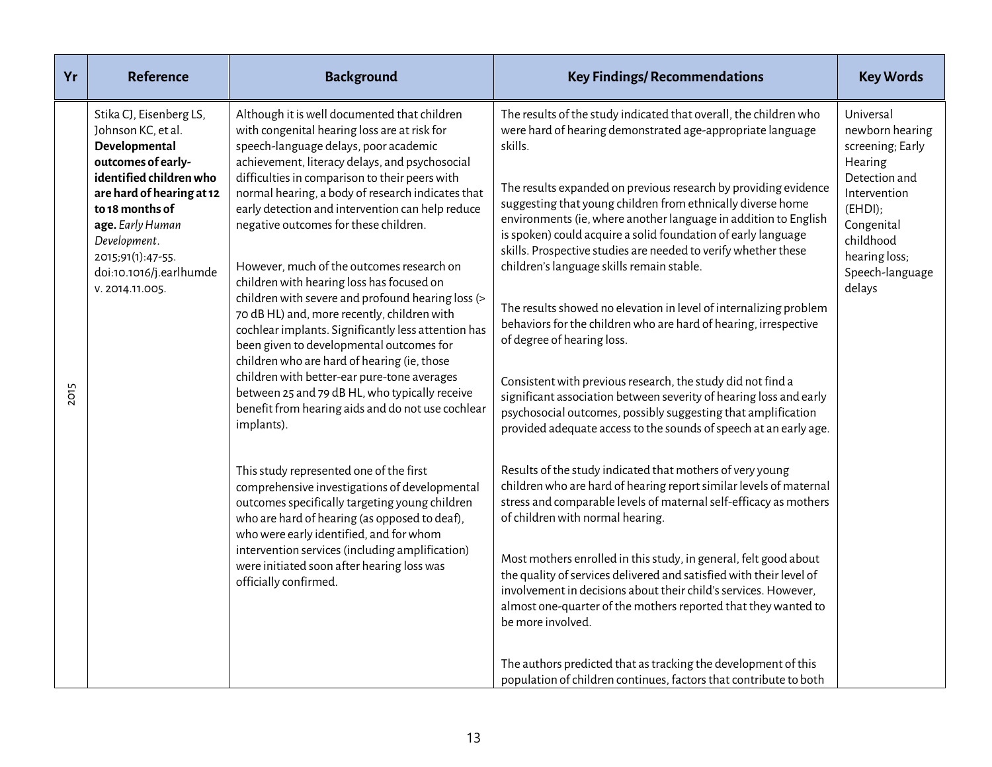| Yr   | <b>Reference</b>                                                                                                                                                                                                                                                       | <b>Background</b>                                                                                                                                                                                                                                                                                                                                                                                                                                                                                                                                                                                                                                                                                                                                                                                                                                                                                                                                                                                                                                                                                                                                                                                                                                                                   | <b>Key Findings/ Recommendations</b>                                                                                                                                                                                                                                                                                                                                                                                                                                                                                                                                                                                                                                                                                                                                                                                                                                                                                                                                                                                                                                                                                                                                                                                                                                                                                                                                                                                                                                                                                                                                                                                                                                      | <b>Key Words</b>                                                                                                                                                                   |
|------|------------------------------------------------------------------------------------------------------------------------------------------------------------------------------------------------------------------------------------------------------------------------|-------------------------------------------------------------------------------------------------------------------------------------------------------------------------------------------------------------------------------------------------------------------------------------------------------------------------------------------------------------------------------------------------------------------------------------------------------------------------------------------------------------------------------------------------------------------------------------------------------------------------------------------------------------------------------------------------------------------------------------------------------------------------------------------------------------------------------------------------------------------------------------------------------------------------------------------------------------------------------------------------------------------------------------------------------------------------------------------------------------------------------------------------------------------------------------------------------------------------------------------------------------------------------------|---------------------------------------------------------------------------------------------------------------------------------------------------------------------------------------------------------------------------------------------------------------------------------------------------------------------------------------------------------------------------------------------------------------------------------------------------------------------------------------------------------------------------------------------------------------------------------------------------------------------------------------------------------------------------------------------------------------------------------------------------------------------------------------------------------------------------------------------------------------------------------------------------------------------------------------------------------------------------------------------------------------------------------------------------------------------------------------------------------------------------------------------------------------------------------------------------------------------------------------------------------------------------------------------------------------------------------------------------------------------------------------------------------------------------------------------------------------------------------------------------------------------------------------------------------------------------------------------------------------------------------------------------------------------------|------------------------------------------------------------------------------------------------------------------------------------------------------------------------------------|
| 2015 | Stika CJ, Eisenberg LS,<br>Johnson KC, et al.<br>Developmental<br>outcomes of early-<br>identified children who<br>are hard of hearing at 12<br>to 18 months of<br>age. Early Human<br>Development.<br>2015;91(1):47-55.<br>doi:10.1016/j.earlhumde<br>V. 2014.11.005. | Although it is well documented that children<br>with congenital hearing loss are at risk for<br>speech-language delays, poor academic<br>achievement, literacy delays, and psychosocial<br>difficulties in comparison to their peers with<br>normal hearing, a body of research indicates that<br>early detection and intervention can help reduce<br>negative outcomes for these children.<br>However, much of the outcomes research on<br>children with hearing loss has focused on<br>children with severe and profound hearing loss (><br>70 dB HL) and, more recently, children with<br>cochlear implants. Significantly less attention has<br>been given to developmental outcomes for<br>children who are hard of hearing (ie, those<br>children with better-ear pure-tone averages<br>between 25 and 79 dB HL, who typically receive<br>benefit from hearing aids and do not use cochlear<br>implants).<br>This study represented one of the first<br>comprehensive investigations of developmental<br>outcomes specifically targeting young children<br>who are hard of hearing (as opposed to deaf),<br>who were early identified, and for whom<br>intervention services (including amplification)<br>were initiated soon after hearing loss was<br>officially confirmed. | The results of the study indicated that overall, the children who<br>were hard of hearing demonstrated age-appropriate language<br>skills.<br>The results expanded on previous research by providing evidence<br>suggesting that young children from ethnically diverse home<br>environments (ie, where another language in addition to English<br>is spoken) could acquire a solid foundation of early language<br>skills. Prospective studies are needed to verify whether these<br>children's language skills remain stable.<br>The results showed no elevation in level of internalizing problem<br>behaviors for the children who are hard of hearing, irrespective<br>of degree of hearing loss.<br>Consistent with previous research, the study did not find a<br>significant association between severity of hearing loss and early<br>psychosocial outcomes, possibly suggesting that amplification<br>provided adequate access to the sounds of speech at an early age.<br>Results of the study indicated that mothers of very young<br>children who are hard of hearing report similar levels of maternal<br>stress and comparable levels of maternal self-efficacy as mothers<br>of children with normal hearing.<br>Most mothers enrolled in this study, in general, felt good about<br>the quality of services delivered and satisfied with their level of<br>involvement in decisions about their child's services. However,<br>almost one-quarter of the mothers reported that they wanted to<br>be more involved.<br>The authors predicted that as tracking the development of this<br>population of children continues, factors that contribute to both | Universal<br>newborn hearing<br>screening; Early<br>Hearing<br>Detection and<br>Intervention<br>$(EHD)$ ;<br>Congenital<br>childhood<br>hearing loss;<br>Speech-language<br>delays |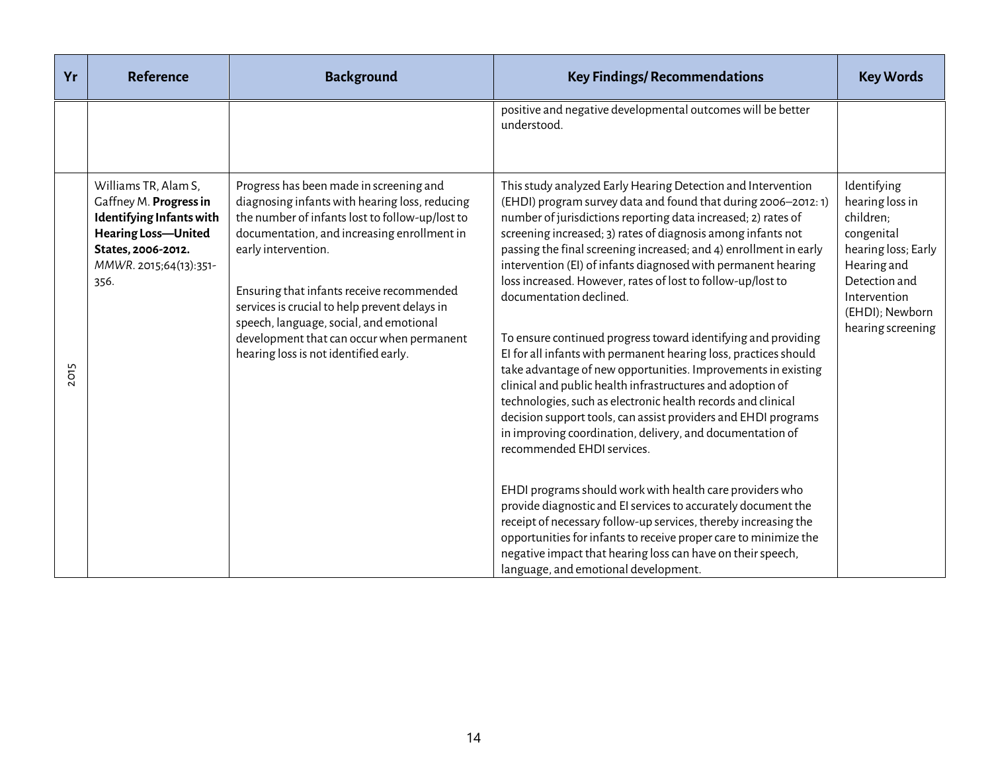| Yr   | <b>Reference</b>                                                                                                                                                        | <b>Background</b>                                                                                                                                                                                                                                                                                                                                                                                                                                 | <b>Key Findings/ Recommendations</b>                                                                                                                                                                                                                                                                                                                                                                                                                                                                                                                                                                                                                                                                                                                                                                                                                                                                                                                                                             | <b>Key Words</b>                                                                                                                                                         |
|------|-------------------------------------------------------------------------------------------------------------------------------------------------------------------------|---------------------------------------------------------------------------------------------------------------------------------------------------------------------------------------------------------------------------------------------------------------------------------------------------------------------------------------------------------------------------------------------------------------------------------------------------|--------------------------------------------------------------------------------------------------------------------------------------------------------------------------------------------------------------------------------------------------------------------------------------------------------------------------------------------------------------------------------------------------------------------------------------------------------------------------------------------------------------------------------------------------------------------------------------------------------------------------------------------------------------------------------------------------------------------------------------------------------------------------------------------------------------------------------------------------------------------------------------------------------------------------------------------------------------------------------------------------|--------------------------------------------------------------------------------------------------------------------------------------------------------------------------|
|      |                                                                                                                                                                         |                                                                                                                                                                                                                                                                                                                                                                                                                                                   | positive and negative developmental outcomes will be better<br>understood.                                                                                                                                                                                                                                                                                                                                                                                                                                                                                                                                                                                                                                                                                                                                                                                                                                                                                                                       |                                                                                                                                                                          |
| 2015 | Williams TR, Alam S,<br>Gaffney M. Progress in<br><b>Identifying Infants with</b><br><b>Hearing Loss-United</b><br>States, 2006-2012.<br>MMWR. 2015;64(13):351-<br>356. | Progress has been made in screening and<br>diagnosing infants with hearing loss, reducing<br>the number of infants lost to follow-up/lost to<br>documentation, and increasing enrollment in<br>early intervention.<br>Ensuring that infants receive recommended<br>services is crucial to help prevent delays in<br>speech, language, social, and emotional<br>development that can occur when permanent<br>hearing loss is not identified early. | This study analyzed Early Hearing Detection and Intervention<br>(EHDI) program survey data and found that during 2006-2012: 1)<br>number of jurisdictions reporting data increased; 2) rates of<br>screening increased; 3) rates of diagnosis among infants not<br>passing the final screening increased; and 4) enrollment in early<br>intervention (EI) of infants diagnosed with permanent hearing<br>loss increased. However, rates of lost to follow-up/lost to<br>documentation declined.<br>To ensure continued progress toward identifying and providing<br>El for all infants with permanent hearing loss, practices should<br>take advantage of new opportunities. Improvements in existing<br>clinical and public health infrastructures and adoption of<br>technologies, such as electronic health records and clinical<br>decision support tools, can assist providers and EHDI programs<br>in improving coordination, delivery, and documentation of<br>recommended EHDI services. | Identifying<br>hearing loss in<br>children;<br>congenital<br>hearing loss; Early<br>Hearing and<br>Detection and<br>Intervention<br>(EHDI); Newborn<br>hearing screening |
|      |                                                                                                                                                                         |                                                                                                                                                                                                                                                                                                                                                                                                                                                   | EHDI programs should work with health care providers who<br>provide diagnostic and EI services to accurately document the<br>receipt of necessary follow-up services, thereby increasing the<br>opportunities for infants to receive proper care to minimize the<br>negative impact that hearing loss can have on their speech,<br>language, and emotional development.                                                                                                                                                                                                                                                                                                                                                                                                                                                                                                                                                                                                                          |                                                                                                                                                                          |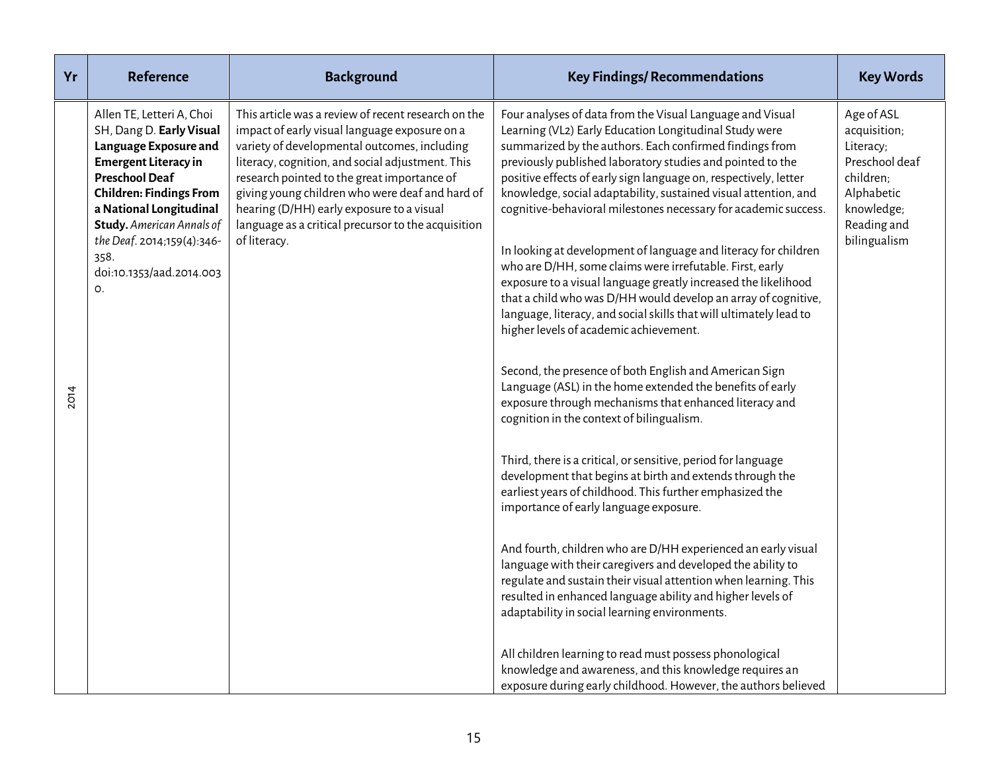| Yr          | <b>Reference</b>                                                                                                                                                                                                                                                                                                | <b>Background</b>                                                                                                                                                                                                                                                                                                                                                                                                              | <b>Key Findings/ Recommendations</b>                                                                                                                                                                                                                                                                                                                                                                                                                                                                                                                                                                                                                                                                                                                                                                                                                                                                                                                                                                                                                                                                                                                                                                                                                                                                                                                                                                                                                                                                                                                                                                                         | <b>Key Words</b>                                                                                                                  |
|-------------|-----------------------------------------------------------------------------------------------------------------------------------------------------------------------------------------------------------------------------------------------------------------------------------------------------------------|--------------------------------------------------------------------------------------------------------------------------------------------------------------------------------------------------------------------------------------------------------------------------------------------------------------------------------------------------------------------------------------------------------------------------------|------------------------------------------------------------------------------------------------------------------------------------------------------------------------------------------------------------------------------------------------------------------------------------------------------------------------------------------------------------------------------------------------------------------------------------------------------------------------------------------------------------------------------------------------------------------------------------------------------------------------------------------------------------------------------------------------------------------------------------------------------------------------------------------------------------------------------------------------------------------------------------------------------------------------------------------------------------------------------------------------------------------------------------------------------------------------------------------------------------------------------------------------------------------------------------------------------------------------------------------------------------------------------------------------------------------------------------------------------------------------------------------------------------------------------------------------------------------------------------------------------------------------------------------------------------------------------------------------------------------------------|-----------------------------------------------------------------------------------------------------------------------------------|
| <b>2014</b> | Allen TE, Letteri A, Choi<br>SH, Dang D. Early Visual<br>Language Exposure and<br><b>Emergent Literacy in</b><br><b>Preschool Deaf</b><br><b>Children: Findings From</b><br>a National Longitudinal<br><b>Study.</b> American Annals of<br>the Deaf. 2014;159(4):346-<br>358.<br>doi:10.1353/aad.2014.003<br>O. | This article was a review of recent research on the<br>impact of early visual language exposure on a<br>variety of developmental outcomes, including<br>literacy, cognition, and social adjustment. This<br>research pointed to the great importance of<br>giving young children who were deaf and hard of<br>hearing (D/HH) early exposure to a visual<br>language as a critical precursor to the acquisition<br>of literacy. | Four analyses of data from the Visual Language and Visual<br>Learning (VL2) Early Education Longitudinal Study were<br>summarized by the authors. Each confirmed findings from<br>previously published laboratory studies and pointed to the<br>positive effects of early sign language on, respectively, letter<br>knowledge, social adaptability, sustained visual attention, and<br>cognitive-behavioral milestones necessary for academic success.<br>In looking at development of language and literacy for children<br>who are D/HH, some claims were irrefutable. First, early<br>exposure to a visual language greatly increased the likelihood<br>that a child who was D/HH would develop an array of cognitive,<br>language, literacy, and social skills that will ultimately lead to<br>higher levels of academic achievement.<br>Second, the presence of both English and American Sign<br>Language (ASL) in the home extended the benefits of early<br>exposure through mechanisms that enhanced literacy and<br>cognition in the context of bilingualism.<br>Third, there is a critical, or sensitive, period for language<br>development that begins at birth and extends through the<br>earliest years of childhood. This further emphasized the<br>importance of early language exposure.<br>And fourth, children who are D/HH experienced an early visual<br>language with their caregivers and developed the ability to<br>regulate and sustain their visual attention when learning. This<br>resulted in enhanced language ability and higher levels of<br>adaptability in social learning environments. | Age of ASL<br>acquisition;<br>Literacy;<br>Preschool deaf<br>children;<br>Alphabetic<br>knowledge;<br>Reading and<br>bilingualism |
|             |                                                                                                                                                                                                                                                                                                                 |                                                                                                                                                                                                                                                                                                                                                                                                                                | All children learning to read must possess phonological<br>knowledge and awareness, and this knowledge requires an<br>exposure during early childhood. However, the authors believed                                                                                                                                                                                                                                                                                                                                                                                                                                                                                                                                                                                                                                                                                                                                                                                                                                                                                                                                                                                                                                                                                                                                                                                                                                                                                                                                                                                                                                         |                                                                                                                                   |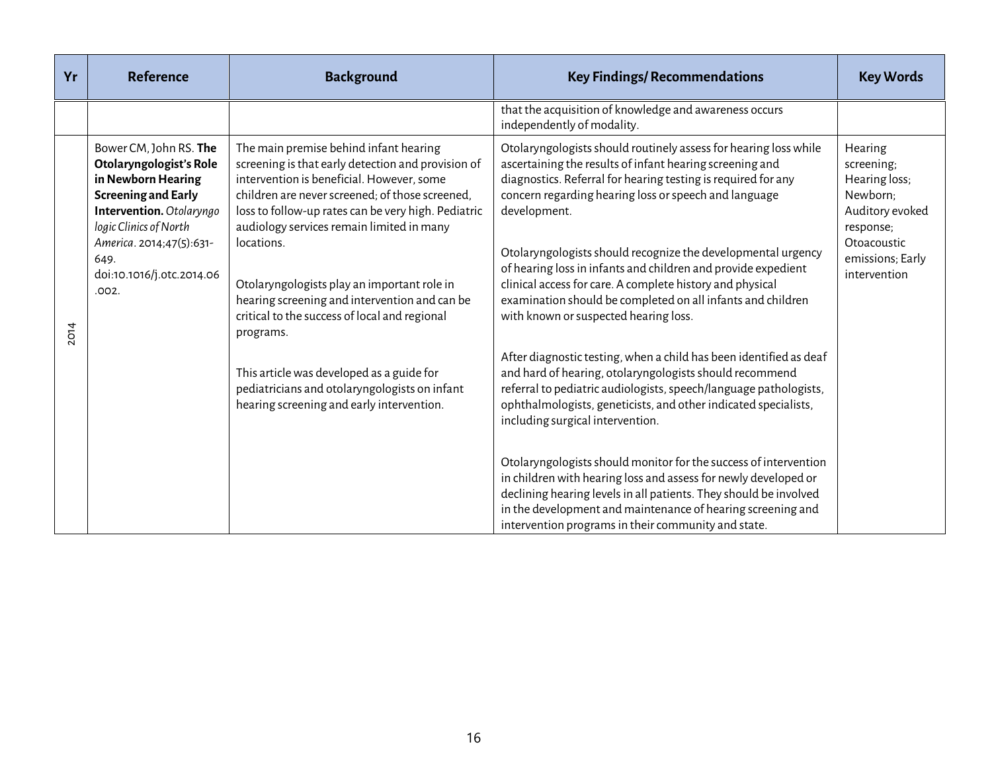| Yr          | <b>Reference</b>                                                                                                                                                                                                                      | <b>Background</b>                                                                                                                                                                                                                                                                                                                                                                                                                                                            | <b>Key Findings/ Recommendations</b>                                                                                                                                                                                                                                                                                                                                                                                                                                                                                                                                         | <b>Key Words</b>                                                                                                                      |
|-------------|---------------------------------------------------------------------------------------------------------------------------------------------------------------------------------------------------------------------------------------|------------------------------------------------------------------------------------------------------------------------------------------------------------------------------------------------------------------------------------------------------------------------------------------------------------------------------------------------------------------------------------------------------------------------------------------------------------------------------|------------------------------------------------------------------------------------------------------------------------------------------------------------------------------------------------------------------------------------------------------------------------------------------------------------------------------------------------------------------------------------------------------------------------------------------------------------------------------------------------------------------------------------------------------------------------------|---------------------------------------------------------------------------------------------------------------------------------------|
|             |                                                                                                                                                                                                                                       |                                                                                                                                                                                                                                                                                                                                                                                                                                                                              | that the acquisition of knowledge and awareness occurs<br>independently of modality.                                                                                                                                                                                                                                                                                                                                                                                                                                                                                         |                                                                                                                                       |
| <b>2014</b> | Bower CM, John RS. The<br>Otolaryngologist's Role<br>in Newborn Hearing<br><b>Screening and Early</b><br>Intervention. Otolaryngo<br>logic Clinics of North<br>America. 2014;47(5):631-<br>649.<br>doi:10.1016/j.otc.2014.06<br>.002. | The main premise behind infant hearing<br>screening is that early detection and provision of<br>intervention is beneficial. However, some<br>children are never screened; of those screened,<br>loss to follow-up rates can be very high. Pediatric<br>audiology services remain limited in many<br>locations.<br>Otolaryngologists play an important role in<br>hearing screening and intervention and can be<br>critical to the success of local and regional<br>programs. | Otolaryngologists should routinely assess for hearing loss while<br>ascertaining the results of infant hearing screening and<br>diagnostics. Referral for hearing testing is required for any<br>concern regarding hearing loss or speech and language<br>development.<br>Otolaryngologists should recognize the developmental urgency<br>of hearing loss in infants and children and provide expedient<br>clinical access for care. A complete history and physical<br>examination should be completed on all infants and children<br>with known or suspected hearing loss. | Hearing<br>screening;<br>Hearing loss;<br>Newborn;<br>Auditory evoked<br>response;<br>Otoacoustic<br>emissions; Early<br>intervention |
|             | This article was developed as a guide for<br>pediatricians and otolaryngologists on infant<br>hearing screening and early intervention.                                                                                               | After diagnostic testing, when a child has been identified as deaf<br>and hard of hearing, otolaryngologists should recommend<br>referral to pediatric audiologists, speech/language pathologists,<br>ophthalmologists, geneticists, and other indicated specialists,<br>including surgical intervention.                                                                                                                                                                    |                                                                                                                                                                                                                                                                                                                                                                                                                                                                                                                                                                              |                                                                                                                                       |
|             |                                                                                                                                                                                                                                       |                                                                                                                                                                                                                                                                                                                                                                                                                                                                              | Otolaryngologists should monitor for the success of intervention<br>in children with hearing loss and assess for newly developed or<br>declining hearing levels in all patients. They should be involved<br>in the development and maintenance of hearing screening and<br>intervention programs in their community and state.                                                                                                                                                                                                                                               |                                                                                                                                       |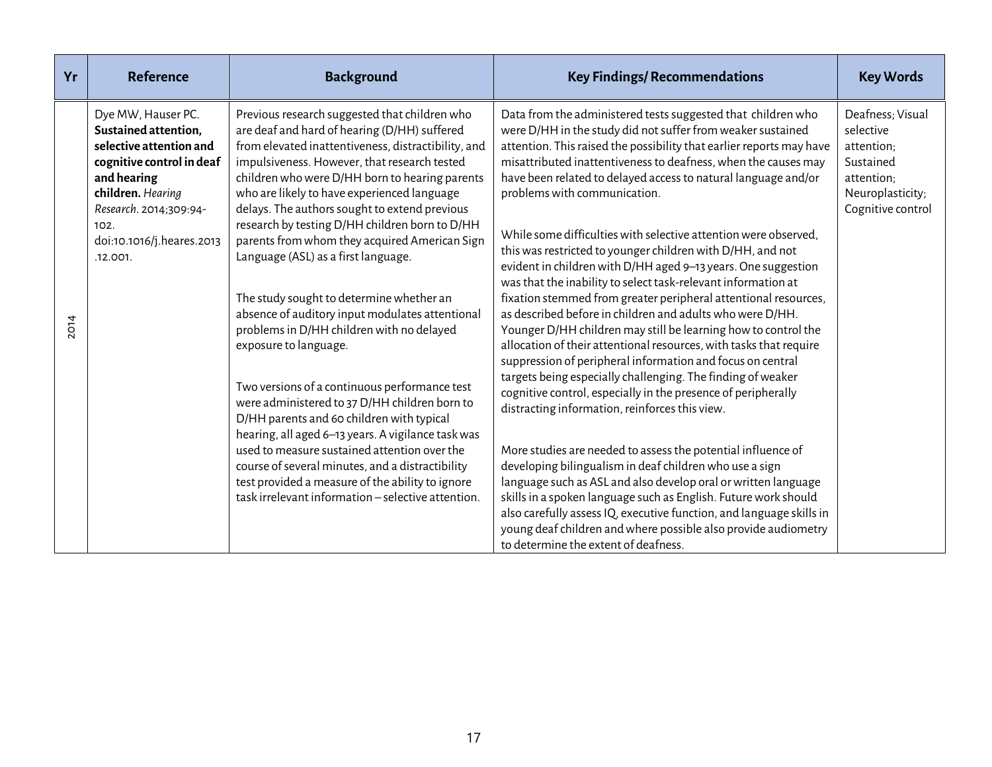| Yr          | <b>Reference</b>                                                                                                                                                                                                  | <b>Background</b>                                                                                                                                                                                                                                                                                                                                                                                                                                                                                                                                                                                                                                                                                                                                                                                                                                                                                                                                                                                                                  | <b>Key Findings/ Recommendations</b>                                                                                                                                                                                                                                                                                                                                                                                                                                                                                                                                                                                                                                                                                                                                                                                                                                                                                                                                                                                                                                                                                                                                                                                                                                                                                                                            | <b>Key Words</b>                                                                                                |
|-------------|-------------------------------------------------------------------------------------------------------------------------------------------------------------------------------------------------------------------|------------------------------------------------------------------------------------------------------------------------------------------------------------------------------------------------------------------------------------------------------------------------------------------------------------------------------------------------------------------------------------------------------------------------------------------------------------------------------------------------------------------------------------------------------------------------------------------------------------------------------------------------------------------------------------------------------------------------------------------------------------------------------------------------------------------------------------------------------------------------------------------------------------------------------------------------------------------------------------------------------------------------------------|-----------------------------------------------------------------------------------------------------------------------------------------------------------------------------------------------------------------------------------------------------------------------------------------------------------------------------------------------------------------------------------------------------------------------------------------------------------------------------------------------------------------------------------------------------------------------------------------------------------------------------------------------------------------------------------------------------------------------------------------------------------------------------------------------------------------------------------------------------------------------------------------------------------------------------------------------------------------------------------------------------------------------------------------------------------------------------------------------------------------------------------------------------------------------------------------------------------------------------------------------------------------------------------------------------------------------------------------------------------------|-----------------------------------------------------------------------------------------------------------------|
| <b>2014</b> | Dye MW, Hauser PC.<br>Sustained attention,<br>selective attention and<br>cognitive control in deaf<br>and hearing<br>children. Hearing<br>Research. 2014;309:94-<br>102.<br>doi:10.1016/j.heares.2013<br>.12.001. | Previous research suggested that children who<br>are deaf and hard of hearing (D/HH) suffered<br>from elevated inattentiveness, distractibility, and<br>impulsiveness. However, that research tested<br>children who were D/HH born to hearing parents<br>who are likely to have experienced language<br>delays. The authors sought to extend previous<br>research by testing D/HH children born to D/HH<br>parents from whom they acquired American Sign<br>Language (ASL) as a first language.<br>The study sought to determine whether an<br>absence of auditory input modulates attentional<br>problems in D/HH children with no delayed<br>exposure to language.<br>Two versions of a continuous performance test<br>were administered to 37 D/HH children born to<br>D/HH parents and 60 children with typical<br>hearing, all aged 6-13 years. A vigilance task was<br>used to measure sustained attention over the<br>course of several minutes, and a distractibility<br>test provided a measure of the ability to ignore | Data from the administered tests suggested that children who<br>were D/HH in the study did not suffer from weaker sustained<br>attention. This raised the possibility that earlier reports may have<br>misattributed inattentiveness to deafness, when the causes may<br>have been related to delayed access to natural language and/or<br>problems with communication.<br>While some difficulties with selective attention were observed,<br>this was restricted to younger children with D/HH, and not<br>evident in children with D/HH aged 9-13 years. One suggestion<br>was that the inability to select task-relevant information at<br>fixation stemmed from greater peripheral attentional resources,<br>as described before in children and adults who were D/HH.<br>Younger D/HH children may still be learning how to control the<br>allocation of their attentional resources, with tasks that require<br>suppression of peripheral information and focus on central<br>targets being especially challenging. The finding of weaker<br>cognitive control, especially in the presence of peripherally<br>distracting information, reinforces this view.<br>More studies are needed to assess the potential influence of<br>developing bilingualism in deaf children who use a sign<br>language such as ASL and also develop oral or written language | Deafness; Visual<br>selective<br>attention;<br>Sustained<br>attention;<br>Neuroplasticity;<br>Cognitive control |
|             |                                                                                                                                                                                                                   | task irrelevant information - selective attention.                                                                                                                                                                                                                                                                                                                                                                                                                                                                                                                                                                                                                                                                                                                                                                                                                                                                                                                                                                                 | skills in a spoken language such as English. Future work should<br>also carefully assess IQ, executive function, and language skills in<br>young deaf children and where possible also provide audiometry<br>to determine the extent of deafness.                                                                                                                                                                                                                                                                                                                                                                                                                                                                                                                                                                                                                                                                                                                                                                                                                                                                                                                                                                                                                                                                                                               |                                                                                                                 |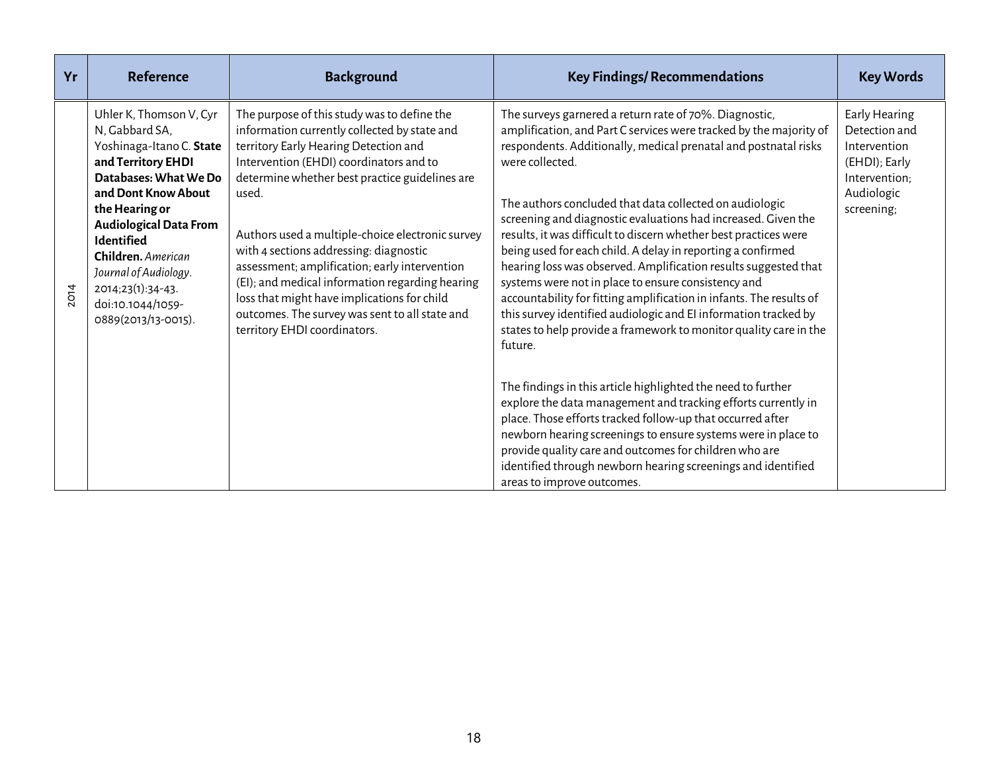| Yr          | <b>Reference</b>                                                                                                                                                                                                                                                                                                             | <b>Background</b>                                                                                                                                                                                                                                                                                                                                                                                                                                                                                                                                                             | <b>Key Findings/ Recommendations</b>                                                                                                                                                                                                                                                                                                                                                                                                                                                                                                                                                                                                                                                                                                                                                                                                  | <b>Key Words</b>                                                                                             |
|-------------|------------------------------------------------------------------------------------------------------------------------------------------------------------------------------------------------------------------------------------------------------------------------------------------------------------------------------|-------------------------------------------------------------------------------------------------------------------------------------------------------------------------------------------------------------------------------------------------------------------------------------------------------------------------------------------------------------------------------------------------------------------------------------------------------------------------------------------------------------------------------------------------------------------------------|---------------------------------------------------------------------------------------------------------------------------------------------------------------------------------------------------------------------------------------------------------------------------------------------------------------------------------------------------------------------------------------------------------------------------------------------------------------------------------------------------------------------------------------------------------------------------------------------------------------------------------------------------------------------------------------------------------------------------------------------------------------------------------------------------------------------------------------|--------------------------------------------------------------------------------------------------------------|
| <b>2014</b> | Uhler K, Thomson V, Cyr<br>N, Gabbard SA,<br>Yoshinaga-Itano C. State<br>and Territory EHDI<br>Databases: What We Do<br>and Dont Know About<br>the Hearing or<br><b>Audiological Data From</b><br>Identified<br>Children. American<br>Journal of Audiology.<br>2014;23(1):34-43.<br>doi:10.1044/1059-<br>0889(2013/13-0015). | The purpose of this study was to define the<br>information currently collected by state and<br>territory Early Hearing Detection and<br>Intervention (EHDI) coordinators and to<br>determine whether best practice guidelines are<br>used.<br>Authors used a multiple-choice electronic survey<br>with 4 sections addressing: diagnostic<br>assessment; amplification; early intervention<br>(EI); and medical information regarding hearing<br>loss that might have implications for child<br>outcomes. The survey was sent to all state and<br>territory EHDI coordinators. | The surveys garnered a return rate of 70%. Diagnostic,<br>amplification, and Part C services were tracked by the majority of<br>respondents. Additionally, medical prenatal and postnatal risks<br>were collected.<br>The authors concluded that data collected on audiologic<br>screening and diagnostic evaluations had increased. Given the<br>results, it was difficult to discern whether best practices were<br>being used for each child. A delay in reporting a confirmed<br>hearing loss was observed. Amplification results suggested that<br>systems were not in place to ensure consistency and<br>accountability for fitting amplification in infants. The results of<br>this survey identified audiologic and EI information tracked by<br>states to help provide a framework to monitor quality care in the<br>future. | Early Hearing<br>Detection and<br>Intervention<br>(EHDI); Early<br>Intervention;<br>Audiologic<br>screening; |
|             |                                                                                                                                                                                                                                                                                                                              |                                                                                                                                                                                                                                                                                                                                                                                                                                                                                                                                                                               | The findings in this article highlighted the need to further<br>explore the data management and tracking efforts currently in<br>place. Those efforts tracked follow-up that occurred after<br>newborn hearing screenings to ensure systems were in place to<br>provide quality care and outcomes for children who are<br>identified through newborn hearing screenings and identified<br>areas to improve outcomes.                                                                                                                                                                                                                                                                                                                                                                                                                  |                                                                                                              |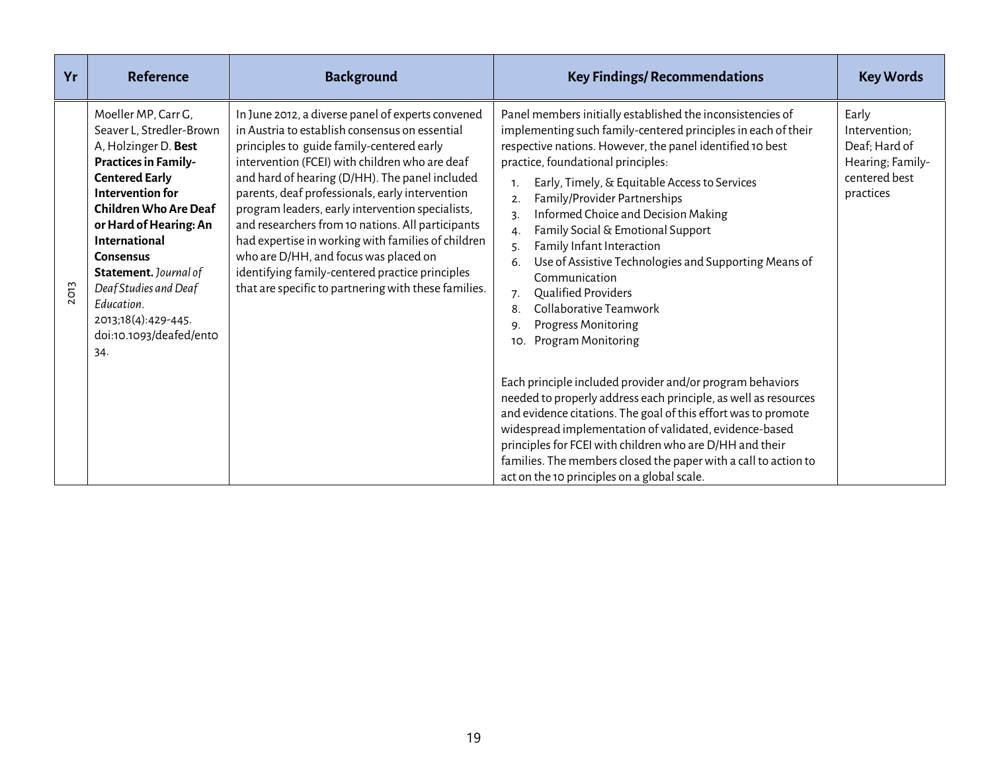| Yr          | <b>Reference</b>                                                                                                                                                                                                                                                                                                                                                            | <b>Background</b>                                                                                                                                                                                                                                                                                                                                                                                                                                                                                                                                                                                                          | <b>Key Findings/ Recommendations</b>                                                                                                                                                                                                                                                                                                                                                                                                                                                                                                                                                                                                                                                                                                                                                                                                                                                                                                                                                                                                                                                                           | <b>Key Words</b>                                                                          |
|-------------|-----------------------------------------------------------------------------------------------------------------------------------------------------------------------------------------------------------------------------------------------------------------------------------------------------------------------------------------------------------------------------|----------------------------------------------------------------------------------------------------------------------------------------------------------------------------------------------------------------------------------------------------------------------------------------------------------------------------------------------------------------------------------------------------------------------------------------------------------------------------------------------------------------------------------------------------------------------------------------------------------------------------|----------------------------------------------------------------------------------------------------------------------------------------------------------------------------------------------------------------------------------------------------------------------------------------------------------------------------------------------------------------------------------------------------------------------------------------------------------------------------------------------------------------------------------------------------------------------------------------------------------------------------------------------------------------------------------------------------------------------------------------------------------------------------------------------------------------------------------------------------------------------------------------------------------------------------------------------------------------------------------------------------------------------------------------------------------------------------------------------------------------|-------------------------------------------------------------------------------------------|
| <b>2013</b> | Moeller MP, Carr G,<br>Seaver L, Stredler-Brown<br>A, Holzinger D. Best<br><b>Practices in Family-</b><br><b>Centered Early</b><br>Intervention for<br><b>Children Who Are Deaf</b><br>or Hard of Hearing: An<br>International<br><b>Consensus</b><br>Statement. Journal of<br>Deaf Studies and Deaf<br>Fducation.<br>2013;18(4):429-445.<br>doi:10.1093/deafed/ento<br>34. | In June 2012, a diverse panel of experts convened<br>in Austria to establish consensus on essential<br>principles to guide family-centered early<br>intervention (FCEI) with children who are deaf<br>and hard of hearing (D/HH). The panel included<br>parents, deaf professionals, early intervention<br>program leaders, early intervention specialists,<br>and researchers from 10 nations. All participants<br>had expertise in working with families of children<br>who are D/HH, and focus was placed on<br>identifying family-centered practice principles<br>that are specific to partnering with these families. | Panel members initially established the inconsistencies of<br>implementing such family-centered principles in each of their<br>respective nations. However, the panel identified 10 best<br>practice, foundational principles:<br>Early, Timely, & Equitable Access to Services<br>1.<br>Family/Provider Partnerships<br>2.<br>Informed Choice and Decision Making<br>3.<br>Family Social & Emotional Support<br>4.<br>Family Infant Interaction<br>5.<br>Use of Assistive Technologies and Supporting Means of<br>6.<br>Communication<br>Qualified Providers<br>7.<br>Collaborative Teamwork<br>8.<br><b>Progress Monitoring</b><br>9.<br>Program Monitoring<br>10.<br>Each principle included provider and/or program behaviors<br>needed to properly address each principle, as well as resources<br>and evidence citations. The goal of this effort was to promote<br>widespread implementation of validated, evidence-based<br>principles for FCEI with children who are D/HH and their<br>families. The members closed the paper with a call to action to<br>act on the 10 principles on a global scale. | Early<br>Intervention;<br>Deaf; Hard of<br>Hearing; Family-<br>centered best<br>practices |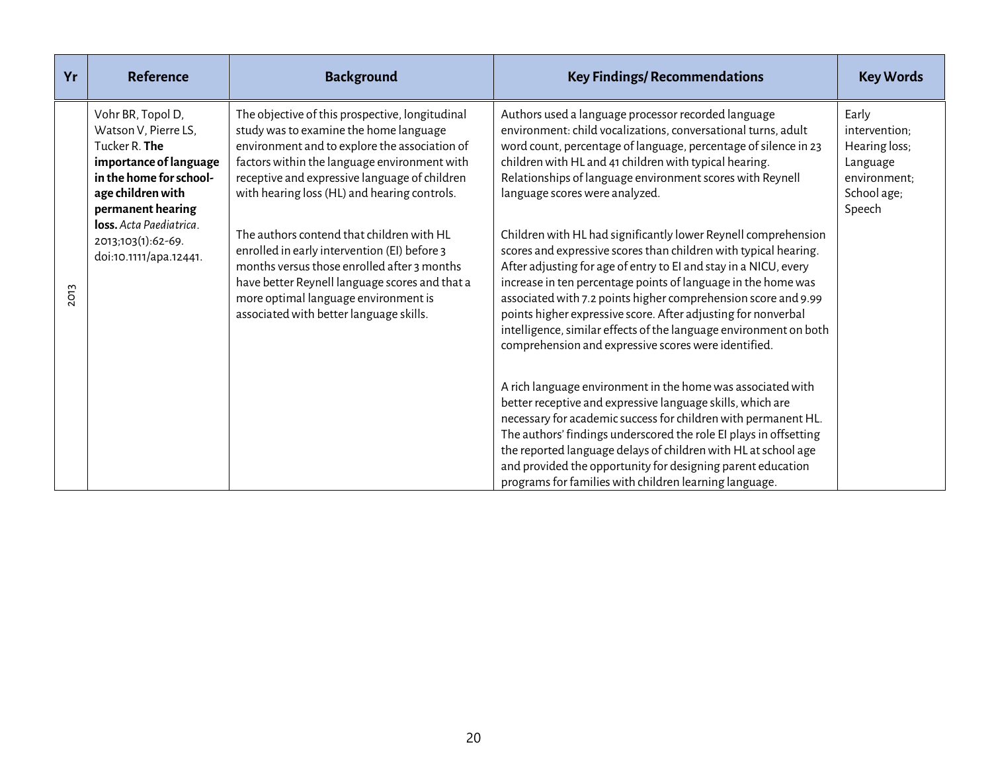| Yr          | <b>Reference</b>                                                                                                                                                                                                                     | <b>Background</b>                                                                                                                                                                                                                                                                                                                                                                                                                                                                                                                                                            | <b>Key Findings/ Recommendations</b>                                                                                                                                                                                                                                                                                                                                                                                                                                                                                                                                                                                                                                                                                                                                                                                                                                                                                                                                                                                                                                                                                                                                                                                                                                                                                                                       | <b>Key Words</b>                                                                             |
|-------------|--------------------------------------------------------------------------------------------------------------------------------------------------------------------------------------------------------------------------------------|------------------------------------------------------------------------------------------------------------------------------------------------------------------------------------------------------------------------------------------------------------------------------------------------------------------------------------------------------------------------------------------------------------------------------------------------------------------------------------------------------------------------------------------------------------------------------|------------------------------------------------------------------------------------------------------------------------------------------------------------------------------------------------------------------------------------------------------------------------------------------------------------------------------------------------------------------------------------------------------------------------------------------------------------------------------------------------------------------------------------------------------------------------------------------------------------------------------------------------------------------------------------------------------------------------------------------------------------------------------------------------------------------------------------------------------------------------------------------------------------------------------------------------------------------------------------------------------------------------------------------------------------------------------------------------------------------------------------------------------------------------------------------------------------------------------------------------------------------------------------------------------------------------------------------------------------|----------------------------------------------------------------------------------------------|
| <b>2013</b> | Vohr BR, Topol D,<br>Watson V, Pierre LS,<br>Tucker R. The<br>importance of language<br>in the home for school-<br>age children with<br>permanent hearing<br>loss. Acta Paediatrica.<br>2013;103(1):62-69.<br>doi:10.1111/apa.12441. | The objective of this prospective, longitudinal<br>study was to examine the home language<br>environment and to explore the association of<br>factors within the language environment with<br>receptive and expressive language of children<br>with hearing loss (HL) and hearing controls.<br>The authors contend that children with HL<br>enrolled in early intervention (EI) before 3<br>months versus those enrolled after 3 months<br>have better Reynell language scores and that a<br>more optimal language environment is<br>associated with better language skills. | Authors used a language processor recorded language<br>environment: child vocalizations, conversational turns, adult<br>word count, percentage of language, percentage of silence in 23<br>children with HL and 41 children with typical hearing.<br>Relationships of language environment scores with Reynell<br>language scores were analyzed.<br>Children with HL had significantly lower Reynell comprehension<br>scores and expressive scores than children with typical hearing.<br>After adjusting for age of entry to EI and stay in a NICU, every<br>increase in ten percentage points of language in the home was<br>associated with 7.2 points higher comprehension score and 9.99<br>points higher expressive score. After adjusting for nonverbal<br>intelligence, similar effects of the language environment on both<br>comprehension and expressive scores were identified.<br>A rich language environment in the home was associated with<br>better receptive and expressive language skills, which are<br>necessary for academic success for children with permanent HL.<br>The authors' findings underscored the role EI plays in offsetting<br>the reported language delays of children with HL at school age<br>and provided the opportunity for designing parent education<br>programs for families with children learning language. | Early<br>intervention;<br>Hearing loss;<br>Language<br>environment;<br>School age;<br>Speech |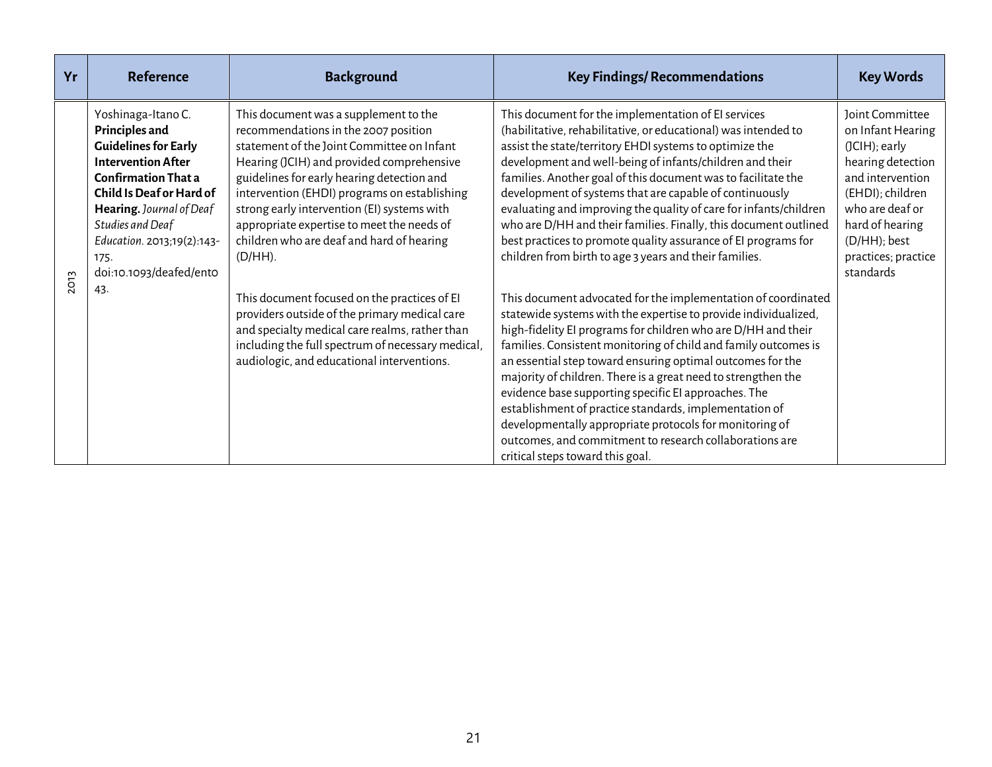| Yr          | <b>Reference</b>                                                                                                                                                                                                                                                                   | <b>Background</b>                                                                                                                                                                                                                                                                                                                                                                                                                                                                                                                                                                                                                                                                    | <b>Key Findings/ Recommendations</b>                                                                                                                                                                                                                                                                                                                                                                                                                                                                                                                                                                                                                                                                                                                                                                                                                                                                                                                                                                                                                                                                                                                                                                                                                                                                                             | <b>Key Words</b>                                                                                                                                                                                                |
|-------------|------------------------------------------------------------------------------------------------------------------------------------------------------------------------------------------------------------------------------------------------------------------------------------|--------------------------------------------------------------------------------------------------------------------------------------------------------------------------------------------------------------------------------------------------------------------------------------------------------------------------------------------------------------------------------------------------------------------------------------------------------------------------------------------------------------------------------------------------------------------------------------------------------------------------------------------------------------------------------------|----------------------------------------------------------------------------------------------------------------------------------------------------------------------------------------------------------------------------------------------------------------------------------------------------------------------------------------------------------------------------------------------------------------------------------------------------------------------------------------------------------------------------------------------------------------------------------------------------------------------------------------------------------------------------------------------------------------------------------------------------------------------------------------------------------------------------------------------------------------------------------------------------------------------------------------------------------------------------------------------------------------------------------------------------------------------------------------------------------------------------------------------------------------------------------------------------------------------------------------------------------------------------------------------------------------------------------|-----------------------------------------------------------------------------------------------------------------------------------------------------------------------------------------------------------------|
| <b>2013</b> | Yoshinaga-Itano C.<br>Principles and<br><b>Guidelines for Early</b><br><b>Intervention After</b><br><b>Confirmation That a</b><br>Child Is Deaf or Hard of<br>Hearing. Journal of Deaf<br>Studies and Deaf<br>Education. 2013;19(2):143-<br>175.<br>doi:10.1093/deafed/ento<br>43. | This document was a supplement to the<br>recommendations in the 2007 position<br>statement of the Joint Committee on Infant<br>Hearing (JCIH) and provided comprehensive<br>guidelines for early hearing detection and<br>intervention (EHDI) programs on establishing<br>strong early intervention (EI) systems with<br>appropriate expertise to meet the needs of<br>children who are deaf and hard of hearing<br>$(D/HH)$ .<br>This document focused on the practices of EI<br>providers outside of the primary medical care<br>and specialty medical care realms, rather than<br>including the full spectrum of necessary medical,<br>audiologic, and educational interventions. | This document for the implementation of EI services<br>(habilitative, rehabilitative, or educational) was intended to<br>assist the state/territory EHDI systems to optimize the<br>development and well-being of infants/children and their<br>families. Another goal of this document was to facilitate the<br>development of systems that are capable of continuously<br>evaluating and improving the quality of care for infants/children<br>who are D/HH and their families. Finally, this document outlined<br>best practices to promote quality assurance of EI programs for<br>children from birth to age 3 years and their families.<br>This document advocated for the implementation of coordinated<br>statewide systems with the expertise to provide individualized,<br>high-fidelity EI programs for children who are D/HH and their<br>families. Consistent monitoring of child and family outcomes is<br>an essential step toward ensuring optimal outcomes for the<br>majority of children. There is a great need to strengthen the<br>evidence base supporting specific EI approaches. The<br>establishment of practice standards, implementation of<br>developmentally appropriate protocols for monitoring of<br>outcomes, and commitment to research collaborations are<br>critical steps toward this goal. | Joint Committee<br>on Infant Hearing<br>$(JCIH)$ ; early<br>hearing detection<br>and intervention<br>(EHDI); children<br>who are deaf or<br>hard of hearing<br>(D/HH); best<br>practices; practice<br>standards |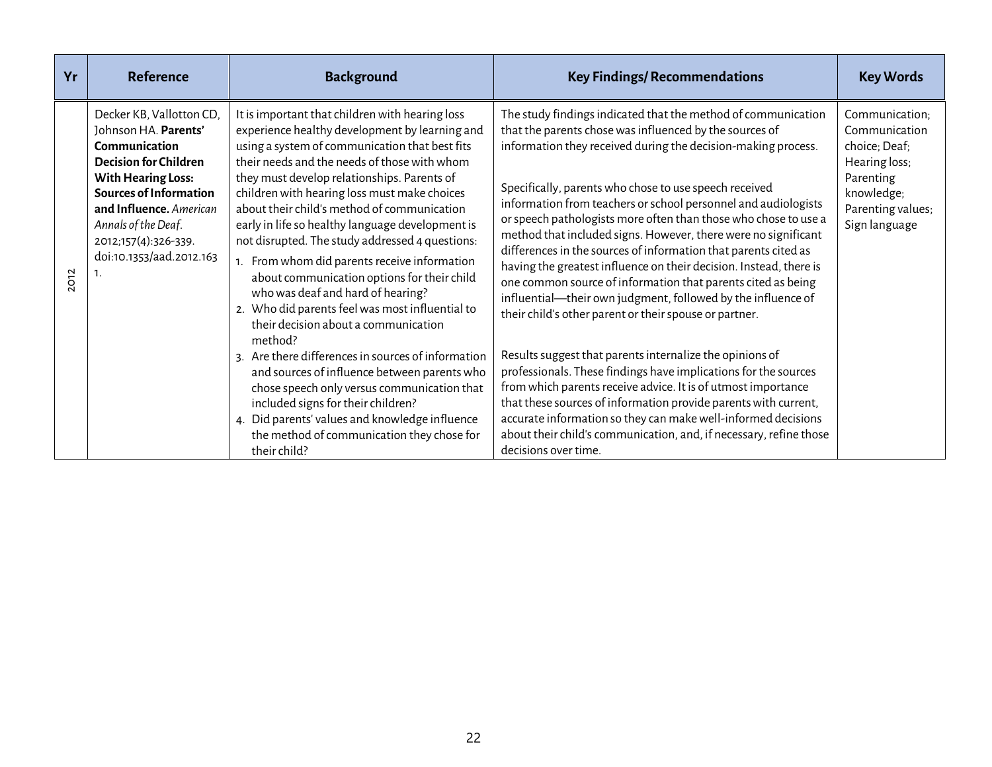| Yr   | <b>Reference</b>                                                                                                                                                                                                                                                            | <b>Background</b>                                                                                                                                                                                                                                                                                                                                                                                                                                                                                                                                                                                                                                                                                                                                                                                                                                                                                                                                                                                             | <b>Key Findings/ Recommendations</b>                                                                                                                                                                                                                                                                                                                                                                                                                                                                                                                                                                                                                                                                                                                                                                                                                                                                                                                                                                                                                                                                                                                                                                                            | <b>Key Words</b>                                                                                                                   |
|------|-----------------------------------------------------------------------------------------------------------------------------------------------------------------------------------------------------------------------------------------------------------------------------|---------------------------------------------------------------------------------------------------------------------------------------------------------------------------------------------------------------------------------------------------------------------------------------------------------------------------------------------------------------------------------------------------------------------------------------------------------------------------------------------------------------------------------------------------------------------------------------------------------------------------------------------------------------------------------------------------------------------------------------------------------------------------------------------------------------------------------------------------------------------------------------------------------------------------------------------------------------------------------------------------------------|---------------------------------------------------------------------------------------------------------------------------------------------------------------------------------------------------------------------------------------------------------------------------------------------------------------------------------------------------------------------------------------------------------------------------------------------------------------------------------------------------------------------------------------------------------------------------------------------------------------------------------------------------------------------------------------------------------------------------------------------------------------------------------------------------------------------------------------------------------------------------------------------------------------------------------------------------------------------------------------------------------------------------------------------------------------------------------------------------------------------------------------------------------------------------------------------------------------------------------|------------------------------------------------------------------------------------------------------------------------------------|
| 2012 | Decker KB, Vallotton CD,<br>Johnson HA. Parents'<br>Communication<br><b>Decision for Children</b><br><b>With Hearing Loss:</b><br><b>Sources of Information</b><br>and Influence. American<br>Annals of the Deaf.<br>2012;157(4):326-339.<br>doi:10.1353/aad.2012.163<br>1. | It is important that children with hearing loss<br>experience healthy development by learning and<br>using a system of communication that best fits<br>their needs and the needs of those with whom<br>they must develop relationships. Parents of<br>children with hearing loss must make choices<br>about their child's method of communication<br>early in life so healthy language development is<br>not disrupted. The study addressed 4 questions:<br>1. From whom did parents receive information<br>about communication options for their child<br>who was deaf and hard of hearing?<br>2. Who did parents feel was most influential to<br>their decision about a communication<br>method?<br>3. Are there differences in sources of information<br>and sources of influence between parents who<br>chose speech only versus communication that<br>included signs for their children?<br>4. Did parents' values and knowledge influence<br>the method of communication they chose for<br>their child? | The study findings indicated that the method of communication<br>that the parents chose was influenced by the sources of<br>information they received during the decision-making process.<br>Specifically, parents who chose to use speech received<br>information from teachers or school personnel and audiologists<br>or speech pathologists more often than those who chose to use a<br>method that included signs. However, there were no significant<br>differences in the sources of information that parents cited as<br>having the greatest influence on their decision. Instead, there is<br>one common source of information that parents cited as being<br>influential-their own judgment, followed by the influence of<br>their child's other parent or their spouse or partner.<br>Results suggest that parents internalize the opinions of<br>professionals. These findings have implications for the sources<br>from which parents receive advice. It is of utmost importance<br>that these sources of information provide parents with current,<br>accurate information so they can make well-informed decisions<br>about their child's communication, and, if necessary, refine those<br>decisions over time. | Communication:<br>Communication<br>choice; Deaf;<br>Hearing loss;<br>Parenting<br>knowledge;<br>Parenting values;<br>Sign language |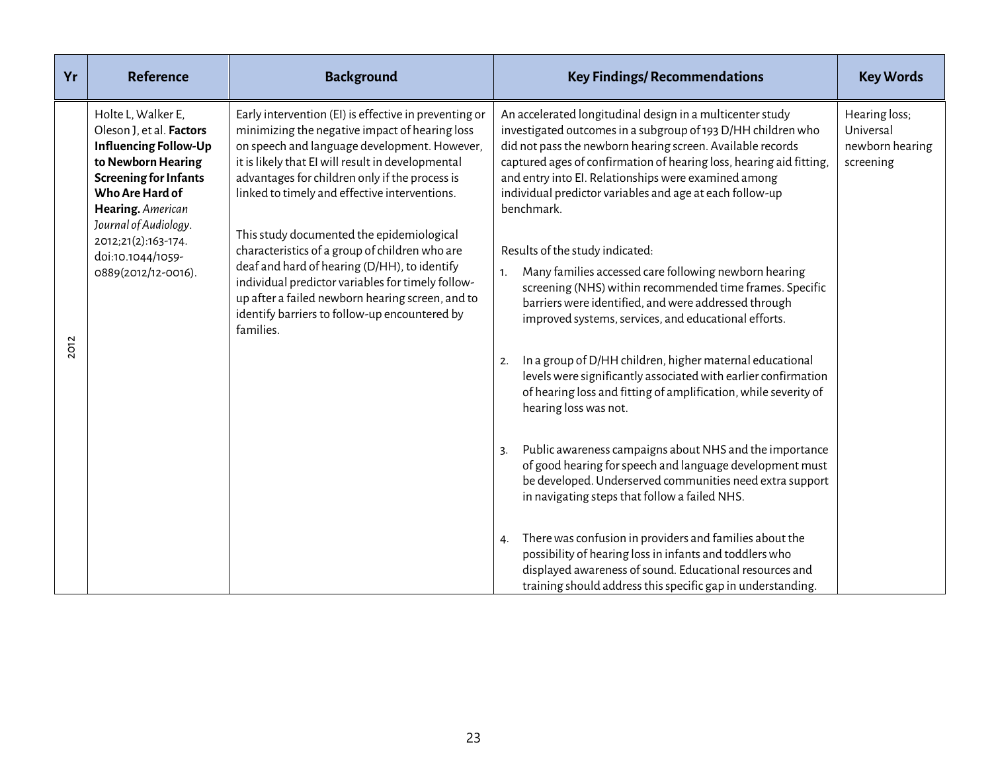| Yr          | <b>Reference</b>                                                                                                                                                                                      | <b>Background</b>                                                                                                                                                                                                                                                                                               | <b>Key Findings/ Recommendations</b>                                                                                                                                                                                                                                                                                                                                                             | <b>Key Words</b>                                           |
|-------------|-------------------------------------------------------------------------------------------------------------------------------------------------------------------------------------------------------|-----------------------------------------------------------------------------------------------------------------------------------------------------------------------------------------------------------------------------------------------------------------------------------------------------------------|--------------------------------------------------------------------------------------------------------------------------------------------------------------------------------------------------------------------------------------------------------------------------------------------------------------------------------------------------------------------------------------------------|------------------------------------------------------------|
|             | Holte L, Walker E,<br>Oleson J, et al. Factors<br><b>Influencing Follow-Up</b><br>to Newborn Hearing<br><b>Screening for Infants</b><br>Who Are Hard of<br>Hearing. American<br>Journal of Audiology. | Early intervention (EI) is effective in preventing or<br>minimizing the negative impact of hearing loss<br>on speech and language development. However,<br>it is likely that EI will result in developmental<br>advantages for children only if the process is<br>linked to timely and effective interventions. | An accelerated longitudinal design in a multicenter study<br>investigated outcomes in a subgroup of 193 D/HH children who<br>did not pass the newborn hearing screen. Available records<br>captured ages of confirmation of hearing loss, hearing aid fitting,<br>and entry into El. Relationships were examined among<br>individual predictor variables and age at each follow-up<br>benchmark. | Hearing loss;<br>Universal<br>newborn hearing<br>screening |
|             | 2012;21(2):163-174.<br>doi:10.1044/1059-                                                                                                                                                              | This study documented the epidemiological<br>characteristics of a group of children who are                                                                                                                                                                                                                     | Results of the study indicated:                                                                                                                                                                                                                                                                                                                                                                  |                                                            |
|             | 0889(2012/12-0016).                                                                                                                                                                                   | deaf and hard of hearing (D/HH), to identify<br>individual predictor variables for timely follow-<br>up after a failed newborn hearing screen, and to<br>identify barriers to follow-up encountered by<br>families.                                                                                             | Many families accessed care following newborn hearing<br>$\mathbf{1}$ .<br>screening (NHS) within recommended time frames. Specific<br>barriers were identified, and were addressed through<br>improved systems, services, and educational efforts.                                                                                                                                              |                                                            |
| <b>2012</b> |                                                                                                                                                                                                       |                                                                                                                                                                                                                                                                                                                 | In a group of D/HH children, higher maternal educational<br>2.<br>levels were significantly associated with earlier confirmation<br>of hearing loss and fitting of amplification, while severity of<br>hearing loss was not.                                                                                                                                                                     |                                                            |
|             |                                                                                                                                                                                                       |                                                                                                                                                                                                                                                                                                                 | Public awareness campaigns about NHS and the importance<br>3.<br>of good hearing for speech and language development must<br>be developed. Underserved communities need extra support<br>in navigating steps that follow a failed NHS.                                                                                                                                                           |                                                            |
|             |                                                                                                                                                                                                       |                                                                                                                                                                                                                                                                                                                 | There was confusion in providers and families about the<br>4.<br>possibility of hearing loss in infants and toddlers who<br>displayed awareness of sound. Educational resources and<br>training should address this specific gap in understanding.                                                                                                                                               |                                                            |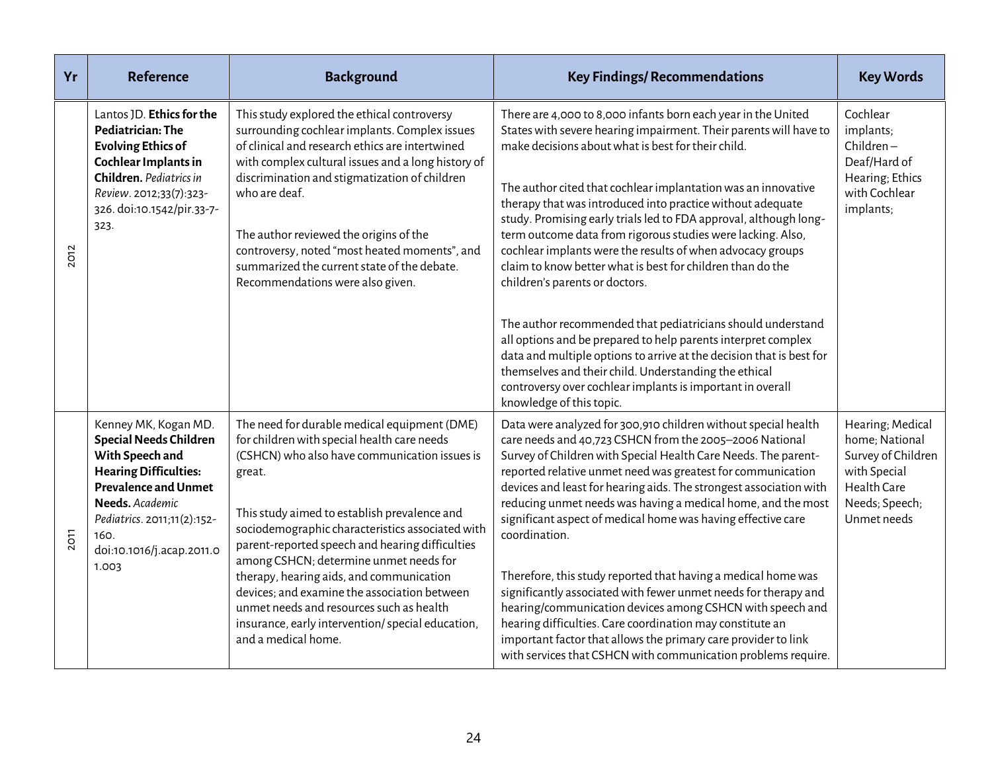| Yr          | <b>Reference</b>                                                                                                                                                                                                                        | <b>Background</b>                                                                                                                                                                                                                                                                                                                                                                                                                                                                                                                                                          | <b>Key Findings/ Recommendations</b>                                                                                                                                                                                                                                                                                                                                                                                                                                                                                                                                                                                                                                                                                                                                                                                                                                                                                                                                                 | <b>Key Words</b>                                                                                                         |
|-------------|-----------------------------------------------------------------------------------------------------------------------------------------------------------------------------------------------------------------------------------------|----------------------------------------------------------------------------------------------------------------------------------------------------------------------------------------------------------------------------------------------------------------------------------------------------------------------------------------------------------------------------------------------------------------------------------------------------------------------------------------------------------------------------------------------------------------------------|--------------------------------------------------------------------------------------------------------------------------------------------------------------------------------------------------------------------------------------------------------------------------------------------------------------------------------------------------------------------------------------------------------------------------------------------------------------------------------------------------------------------------------------------------------------------------------------------------------------------------------------------------------------------------------------------------------------------------------------------------------------------------------------------------------------------------------------------------------------------------------------------------------------------------------------------------------------------------------------|--------------------------------------------------------------------------------------------------------------------------|
| <b>2012</b> | Lantos JD. Ethics for the<br>Pediatrician: The<br><b>Evolving Ethics of</b><br>Cochlear Implants in<br>Children. Pediatrics in<br>Review. 2012;33(7):323-<br>326. doi:10.1542/pir.33-7-<br>323.                                         | This study explored the ethical controversy<br>surrounding cochlear implants. Complex issues<br>of clinical and research ethics are intertwined<br>with complex cultural issues and a long history of<br>discrimination and stigmatization of children<br>who are deaf.<br>The author reviewed the origins of the<br>controversy, noted "most heated moments", and<br>summarized the current state of the debate.<br>Recommendations were also given.                                                                                                                      | There are 4,000 to 8,000 infants born each year in the United<br>States with severe hearing impairment. Their parents will have to<br>make decisions about what is best for their child.<br>The author cited that cochlear implantation was an innovative<br>therapy that was introduced into practice without adequate<br>study. Promising early trials led to FDA approval, although long-<br>term outcome data from rigorous studies were lacking. Also,<br>cochlear implants were the results of when advocacy groups<br>claim to know better what is best for children than do the<br>children's parents or doctors.<br>The author recommended that pediatricians should understand<br>all options and be prepared to help parents interpret complex<br>data and multiple options to arrive at the decision that is best for<br>themselves and their child. Understanding the ethical<br>controversy over cochlear implants is important in overall<br>knowledge of this topic. | Cochlear<br>implants;<br>$Children-$<br>Deaf/Hard of<br>Hearing; Ethics<br>with Cochlear<br>implants;                    |
| 2011        | Kenney MK, Kogan MD.<br><b>Special Needs Children</b><br>With Speech and<br><b>Hearing Difficulties:</b><br><b>Prevalence and Unmet</b><br>Needs. Academic<br>Pediatrics. 2011;11(2):152-<br>160.<br>doi:10.1016/j.acap.2011.0<br>1.003 | The need for durable medical equipment (DME)<br>for children with special health care needs<br>(CSHCN) who also have communication issues is<br>great.<br>This study aimed to establish prevalence and<br>sociodemographic characteristics associated with<br>parent-reported speech and hearing difficulties<br>among CSHCN; determine unmet needs for<br>therapy, hearing aids, and communication<br>devices; and examine the association between<br>unmet needs and resources such as health<br>insurance, early intervention/special education,<br>and a medical home. | Data were analyzed for 300,910 children without special health<br>care needs and 40,723 CSHCN from the 2005-2006 National<br>Survey of Children with Special Health Care Needs. The parent-<br>reported relative unmet need was greatest for communication<br>devices and least for hearing aids. The strongest association with<br>reducing unmet needs was having a medical home, and the most<br>significant aspect of medical home was having effective care<br>coordination.<br>Therefore, this study reported that having a medical home was<br>significantly associated with fewer unmet needs for therapy and<br>hearing/communication devices among CSHCN with speech and<br>hearing difficulties. Care coordination may constitute an<br>important factor that allows the primary care provider to link<br>with services that CSHCN with communication problems require.                                                                                                   | Hearing; Medical<br>home; National<br>Survey of Children<br>with Special<br>Health Care<br>Needs; Speech;<br>Unmet needs |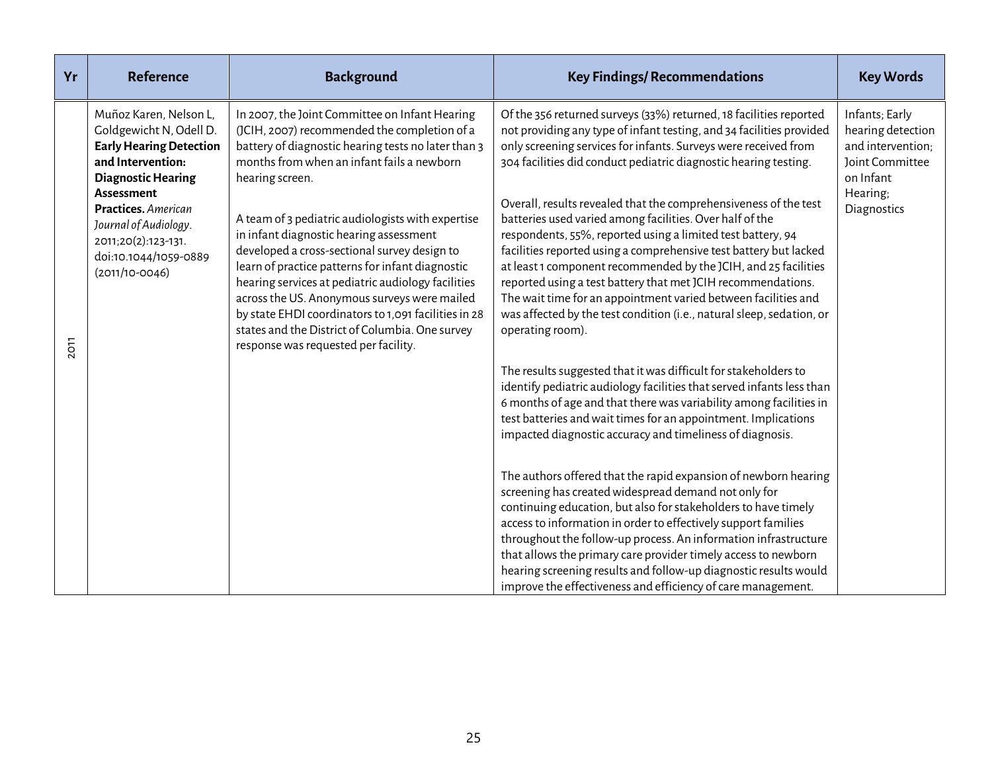| Yr          | <b>Reference</b>                                                                                                                                                                                                                                                               | <b>Background</b>                                                                                                                                                                                                                                                                                                                                                                                                                                                                                                                                                                                                                                                                   | <b>Key Findings/ Recommendations</b>                                                                                                                                                                                                                                                                                                                                                                                                                                                                                                                                                                                                                                                                                                                                                                                                                                                                                                                                                                                                                                                                                                                                                                                                                                                                                                                                                                                                                                                                                                                                                                         | <b>Key Words</b>                                                                                                           |
|-------------|--------------------------------------------------------------------------------------------------------------------------------------------------------------------------------------------------------------------------------------------------------------------------------|-------------------------------------------------------------------------------------------------------------------------------------------------------------------------------------------------------------------------------------------------------------------------------------------------------------------------------------------------------------------------------------------------------------------------------------------------------------------------------------------------------------------------------------------------------------------------------------------------------------------------------------------------------------------------------------|--------------------------------------------------------------------------------------------------------------------------------------------------------------------------------------------------------------------------------------------------------------------------------------------------------------------------------------------------------------------------------------------------------------------------------------------------------------------------------------------------------------------------------------------------------------------------------------------------------------------------------------------------------------------------------------------------------------------------------------------------------------------------------------------------------------------------------------------------------------------------------------------------------------------------------------------------------------------------------------------------------------------------------------------------------------------------------------------------------------------------------------------------------------------------------------------------------------------------------------------------------------------------------------------------------------------------------------------------------------------------------------------------------------------------------------------------------------------------------------------------------------------------------------------------------------------------------------------------------------|----------------------------------------------------------------------------------------------------------------------------|
| <b>2011</b> | Muñoz Karen, Nelson L,<br>Goldgewicht N, Odell D.<br><b>Early Hearing Detection</b><br>and Intervention:<br><b>Diagnostic Hearing</b><br><b>Assessment</b><br>Practices. American<br>Journal of Audiology.<br>2011;20(2):123-131.<br>doi:10.1044/1059-0889<br>$(2011/10-0046)$ | In 2007, the Joint Committee on Infant Hearing<br>(JCIH, 2007) recommended the completion of a<br>battery of diagnostic hearing tests no later than 3<br>months from when an infant fails a newborn<br>hearing screen.<br>A team of 3 pediatric audiologists with expertise<br>in infant diagnostic hearing assessment<br>developed a cross-sectional survey design to<br>learn of practice patterns for infant diagnostic<br>hearing services at pediatric audiology facilities<br>across the US. Anonymous surveys were mailed<br>by state EHDI coordinators to 1,091 facilities in 28<br>states and the District of Columbia. One survey<br>response was requested per facility. | Of the 356 returned surveys (33%) returned, 18 facilities reported<br>not providing any type of infant testing, and 34 facilities provided<br>only screening services for infants. Surveys were received from<br>304 facilities did conduct pediatric diagnostic hearing testing.<br>Overall, results revealed that the comprehensiveness of the test<br>batteries used varied among facilities. Over half of the<br>respondents, 55%, reported using a limited test battery, 94<br>facilities reported using a comprehensive test battery but lacked<br>at least 1 component recommended by the JCIH, and 25 facilities<br>reported using a test battery that met JCIH recommendations.<br>The wait time for an appointment varied between facilities and<br>was affected by the test condition (i.e., natural sleep, sedation, or<br>operating room).<br>The results suggested that it was difficult for stakeholders to<br>identify pediatric audiology facilities that served infants less than<br>6 months of age and that there was variability among facilities in<br>test batteries and wait times for an appointment. Implications<br>impacted diagnostic accuracy and timeliness of diagnosis.<br>The authors offered that the rapid expansion of newborn hearing<br>screening has created widespread demand not only for<br>continuing education, but also for stakeholders to have timely<br>access to information in order to effectively support families<br>throughout the follow-up process. An information infrastructure<br>that allows the primary care provider timely access to newborn | Infants; Early<br>hearing detection<br>and intervention;<br><b>Joint Committee</b><br>on Infant<br>Hearing;<br>Diagnostics |
|             |                                                                                                                                                                                                                                                                                |                                                                                                                                                                                                                                                                                                                                                                                                                                                                                                                                                                                                                                                                                     | hearing screening results and follow-up diagnostic results would<br>improve the effectiveness and efficiency of care management.                                                                                                                                                                                                                                                                                                                                                                                                                                                                                                                                                                                                                                                                                                                                                                                                                                                                                                                                                                                                                                                                                                                                                                                                                                                                                                                                                                                                                                                                             |                                                                                                                            |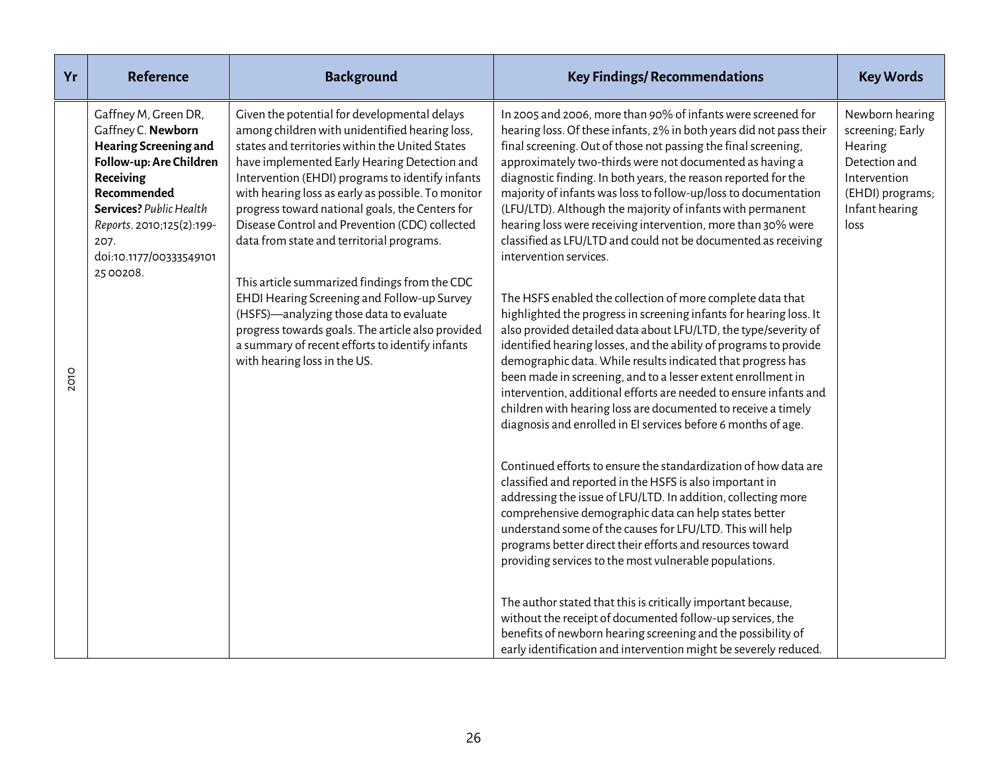| Yr   | <b>Reference</b>                                                                                                                                                                                                                           | <b>Background</b>                                                                                                                                                                                                                                                                                                                                                                                                                                                                                                                                                                                                                                                                                                                                | <b>Key Findings/ Recommendations</b>                                                                                                                                                                                                                                                                                                                                                                                                                                                                                                                                                                                                                                                                                                                                                                                                                                                                                                                                                                                                                                                                                                                                                                                                                                                                                                                                              | <b>Key Words</b>                                                                                                              |
|------|--------------------------------------------------------------------------------------------------------------------------------------------------------------------------------------------------------------------------------------------|--------------------------------------------------------------------------------------------------------------------------------------------------------------------------------------------------------------------------------------------------------------------------------------------------------------------------------------------------------------------------------------------------------------------------------------------------------------------------------------------------------------------------------------------------------------------------------------------------------------------------------------------------------------------------------------------------------------------------------------------------|-----------------------------------------------------------------------------------------------------------------------------------------------------------------------------------------------------------------------------------------------------------------------------------------------------------------------------------------------------------------------------------------------------------------------------------------------------------------------------------------------------------------------------------------------------------------------------------------------------------------------------------------------------------------------------------------------------------------------------------------------------------------------------------------------------------------------------------------------------------------------------------------------------------------------------------------------------------------------------------------------------------------------------------------------------------------------------------------------------------------------------------------------------------------------------------------------------------------------------------------------------------------------------------------------------------------------------------------------------------------------------------|-------------------------------------------------------------------------------------------------------------------------------|
| 2010 | Gaffney M, Green DR,<br>Gaffney C. Newborn<br><b>Hearing Screening and</b><br>Follow-up: Are Children<br>Receiving<br>Recommended<br>Services? Public Health<br>Reports. 2010;125(2):199-<br>207.<br>doi:10.1177/00333549101<br>25 00 208. | Given the potential for developmental delays<br>among children with unidentified hearing loss,<br>states and territories within the United States<br>have implemented Early Hearing Detection and<br>Intervention (EHDI) programs to identify infants<br>with hearing loss as early as possible. To monitor<br>progress toward national goals, the Centers for<br>Disease Control and Prevention (CDC) collected<br>data from state and territorial programs.<br>This article summarized findings from the CDC<br>EHDI Hearing Screening and Follow-up Survey<br>(HSFS)-analyzing those data to evaluate<br>progress towards goals. The article also provided<br>a summary of recent efforts to identify infants<br>with hearing loss in the US. | In 2005 and 2006, more than 90% of infants were screened for<br>hearing loss. Of these infants, 2% in both years did not pass their<br>final screening. Out of those not passing the final screening,<br>approximately two-thirds were not documented as having a<br>diagnostic finding. In both years, the reason reported for the<br>majority of infants was loss to follow-up/loss to documentation<br>(LFU/LTD). Although the majority of infants with permanent<br>hearing loss were receiving intervention, more than 30% were<br>classified as LFU/LTD and could not be documented as receiving<br>intervention services.<br>The HSFS enabled the collection of more complete data that<br>highlighted the progress in screening infants for hearing loss. It<br>also provided detailed data about LFU/LTD, the type/severity of<br>identified hearing losses, and the ability of programs to provide<br>demographic data. While results indicated that progress has<br>been made in screening, and to a lesser extent enrollment in<br>intervention, additional efforts are needed to ensure infants and<br>children with hearing loss are documented to receive a timely<br>diagnosis and enrolled in EI services before 6 months of age.<br>Continued efforts to ensure the standardization of how data are<br>classified and reported in the HSFS is also important in | Newborn hearing<br>screening; Early<br>Hearing<br>Detection and<br>Intervention<br>(EHDI) programs;<br>Infant hearing<br>loss |
|      |                                                                                                                                                                                                                                            |                                                                                                                                                                                                                                                                                                                                                                                                                                                                                                                                                                                                                                                                                                                                                  | addressing the issue of LFU/LTD. In addition, collecting more<br>comprehensive demographic data can help states better<br>understand some of the causes for LFU/LTD. This will help<br>programs better direct their efforts and resources toward<br>providing services to the most vulnerable populations.                                                                                                                                                                                                                                                                                                                                                                                                                                                                                                                                                                                                                                                                                                                                                                                                                                                                                                                                                                                                                                                                        |                                                                                                                               |
|      |                                                                                                                                                                                                                                            |                                                                                                                                                                                                                                                                                                                                                                                                                                                                                                                                                                                                                                                                                                                                                  | The author stated that this is critically important because,<br>without the receipt of documented follow-up services, the<br>benefits of newborn hearing screening and the possibility of<br>early identification and intervention might be severely reduced.                                                                                                                                                                                                                                                                                                                                                                                                                                                                                                                                                                                                                                                                                                                                                                                                                                                                                                                                                                                                                                                                                                                     |                                                                                                                               |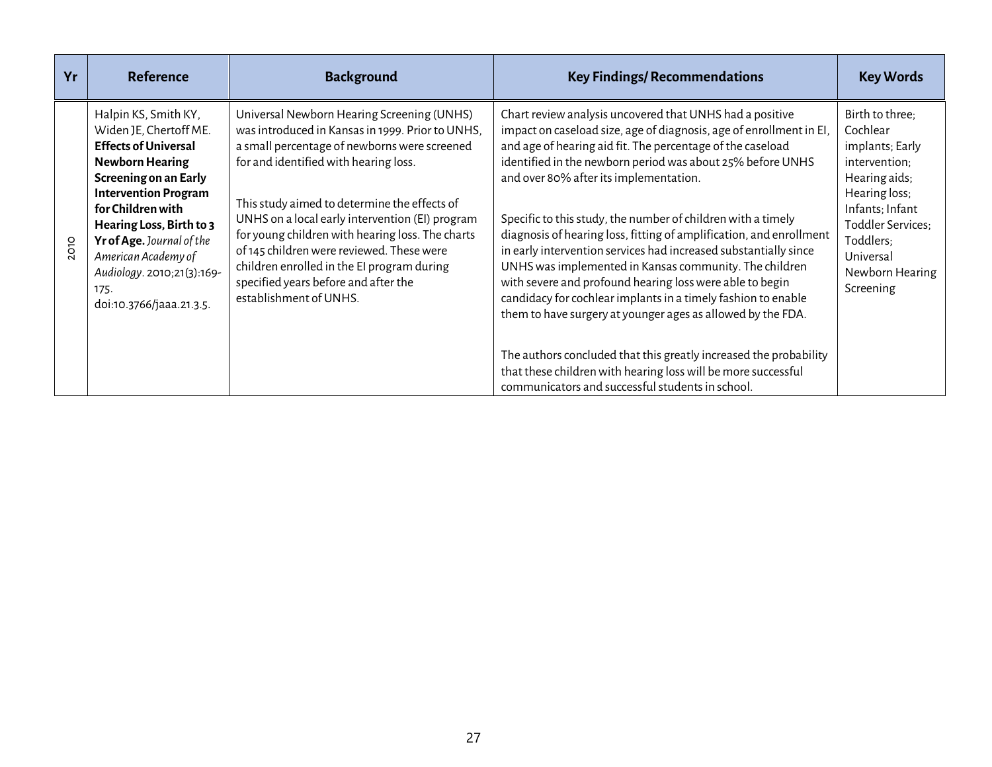| Yr          | <b>Reference</b>                                                                                                                                                                                                                                                                                                                       | <b>Background</b>                                                                                                                                                                                                                                                                                                                                                                                                                                                                                           | <b>Key Findings/ Recommendations</b>                                                                                                                                                                                                                                                                                                                                                                                                                                                                                                                                                                                                                                                                                                                                   | <b>Key Words</b>                                                                                                                                                                                    |
|-------------|----------------------------------------------------------------------------------------------------------------------------------------------------------------------------------------------------------------------------------------------------------------------------------------------------------------------------------------|-------------------------------------------------------------------------------------------------------------------------------------------------------------------------------------------------------------------------------------------------------------------------------------------------------------------------------------------------------------------------------------------------------------------------------------------------------------------------------------------------------------|------------------------------------------------------------------------------------------------------------------------------------------------------------------------------------------------------------------------------------------------------------------------------------------------------------------------------------------------------------------------------------------------------------------------------------------------------------------------------------------------------------------------------------------------------------------------------------------------------------------------------------------------------------------------------------------------------------------------------------------------------------------------|-----------------------------------------------------------------------------------------------------------------------------------------------------------------------------------------------------|
| <b>2010</b> | Halpin KS, Smith KY,<br>Widen JE, Chertoff ME.<br><b>Effects of Universal</b><br><b>Newborn Hearing</b><br>Screening on an Early<br><b>Intervention Program</b><br>for Children with<br>Hearing Loss, Birth to 3<br>Yr of Age. Journal of the<br>American Academy of<br>Audiology. 2010;21(3):169-<br>175.<br>doi:10.3766/jaaa.21.3.5. | Universal Newborn Hearing Screening (UNHS)<br>was introduced in Kansas in 1999. Prior to UNHS,<br>a small percentage of newborns were screened<br>for and identified with hearing loss.<br>This study aimed to determine the effects of<br>UNHS on a local early intervention (EI) program<br>for young children with hearing loss. The charts<br>of 145 children were reviewed. These were<br>children enrolled in the EI program during<br>specified years before and after the<br>establishment of UNHS. | Chart review analysis uncovered that UNHS had a positive<br>impact on caseload size, age of diagnosis, age of enrollment in EI,<br>and age of hearing aid fit. The percentage of the caseload<br>identified in the newborn period was about 25% before UNHS<br>and over 80% after its implementation.<br>Specific to this study, the number of children with a timely<br>diagnosis of hearing loss, fitting of amplification, and enrollment<br>in early intervention services had increased substantially since<br>UNHS was implemented in Kansas community. The children<br>with severe and profound hearing loss were able to begin<br>candidacy for cochlear implants in a timely fashion to enable<br>them to have surgery at younger ages as allowed by the FDA. | Birth to three;<br>Cochlear<br>implants; Early<br>intervention;<br>Hearing aids;<br>Hearing loss;<br>Infants; Infant<br>Toddler Services;<br>Toddlers;<br>Universal<br>Newborn Hearing<br>Screening |
|             |                                                                                                                                                                                                                                                                                                                                        |                                                                                                                                                                                                                                                                                                                                                                                                                                                                                                             | The authors concluded that this greatly increased the probability<br>that these children with hearing loss will be more successful<br>communicators and successful students in school.                                                                                                                                                                                                                                                                                                                                                                                                                                                                                                                                                                                 |                                                                                                                                                                                                     |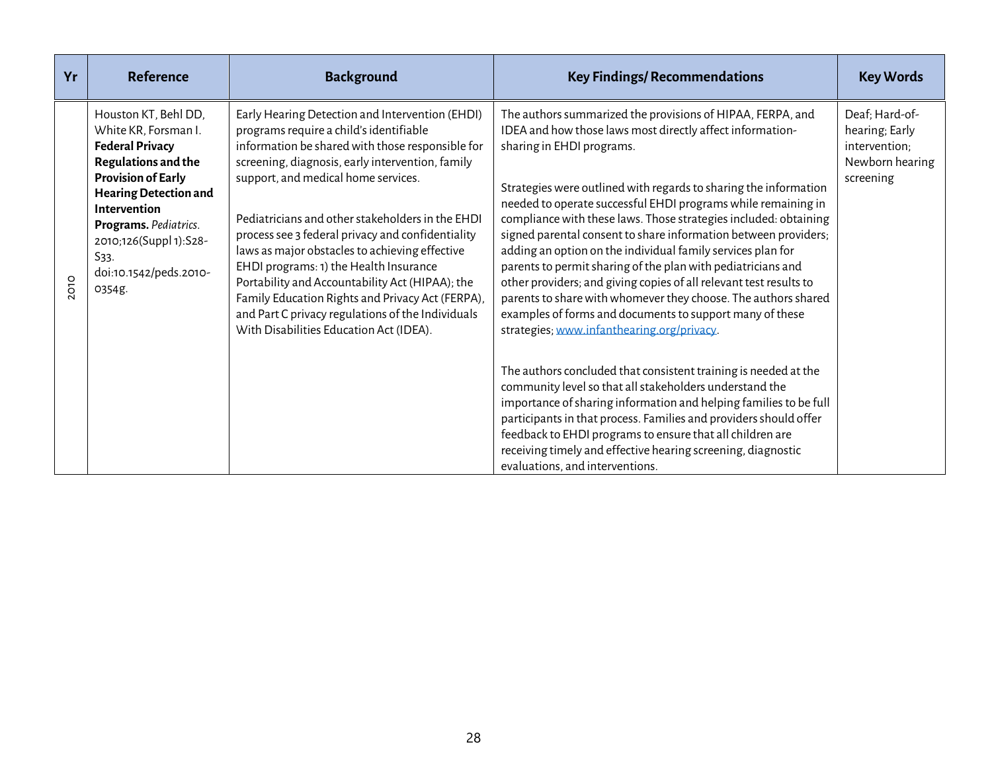| Yr          | <b>Reference</b>                                                                                                                                                                                                                                                          | <b>Background</b>                                                                                                                                                                                                                                                                                                                                                                                                                                                                                                                                                                                                                                     | <b>Key Findings/ Recommendations</b>                                                                                                                                                                                                                                                                                                                                                                                                                                                                                                                                                                                                                                                                                                                                                                              | <b>Key Words</b>                                                                  |
|-------------|---------------------------------------------------------------------------------------------------------------------------------------------------------------------------------------------------------------------------------------------------------------------------|-------------------------------------------------------------------------------------------------------------------------------------------------------------------------------------------------------------------------------------------------------------------------------------------------------------------------------------------------------------------------------------------------------------------------------------------------------------------------------------------------------------------------------------------------------------------------------------------------------------------------------------------------------|-------------------------------------------------------------------------------------------------------------------------------------------------------------------------------------------------------------------------------------------------------------------------------------------------------------------------------------------------------------------------------------------------------------------------------------------------------------------------------------------------------------------------------------------------------------------------------------------------------------------------------------------------------------------------------------------------------------------------------------------------------------------------------------------------------------------|-----------------------------------------------------------------------------------|
| <b>2010</b> | Houston KT, Behl DD,<br>White KR, Forsman I.<br><b>Federal Privacy</b><br>Regulations and the<br><b>Provision of Early</b><br><b>Hearing Detection and</b><br>Intervention<br>Programs. Pediatrics.<br>2010;126(Suppl 1):S28-<br>S33.<br>doi:10.1542/peds.2010-<br>0354g. | Early Hearing Detection and Intervention (EHDI)<br>programs require a child's identifiable<br>information be shared with those responsible for<br>screening, diagnosis, early intervention, family<br>support, and medical home services.<br>Pediatricians and other stakeholders in the EHDI<br>process see 3 federal privacy and confidentiality<br>laws as major obstacles to achieving effective<br>EHDI programs: 1) the Health Insurance<br>Portability and Accountability Act (HIPAA); the<br>Family Education Rights and Privacy Act (FERPA),<br>and Part C privacy regulations of the Individuals<br>With Disabilities Education Act (IDEA). | The authors summarized the provisions of HIPAA, FERPA, and<br>IDEA and how those laws most directly affect information-<br>sharing in EHDI programs.<br>Strategies were outlined with regards to sharing the information<br>needed to operate successful EHDI programs while remaining in<br>compliance with these laws. Those strategies included: obtaining<br>signed parental consent to share information between providers;<br>adding an option on the individual family services plan for<br>parents to permit sharing of the plan with pediatricians and<br>other providers; and giving copies of all relevant test results to<br>parents to share with whomever they choose. The authors shared<br>examples of forms and documents to support many of these<br>strategies; www.infanthearing.org/privacy. | Deaf; Hard-of-<br>hearing; Early<br>intervention;<br>Newborn hearing<br>screening |
|             |                                                                                                                                                                                                                                                                           |                                                                                                                                                                                                                                                                                                                                                                                                                                                                                                                                                                                                                                                       | The authors concluded that consistent training is needed at the<br>community level so that all stakeholders understand the<br>importance of sharing information and helping families to be full<br>participants in that process. Families and providers should offer<br>feedback to EHDI programs to ensure that all children are<br>receiving timely and effective hearing screening, diagnostic<br>evaluations, and interventions.                                                                                                                                                                                                                                                                                                                                                                              |                                                                                   |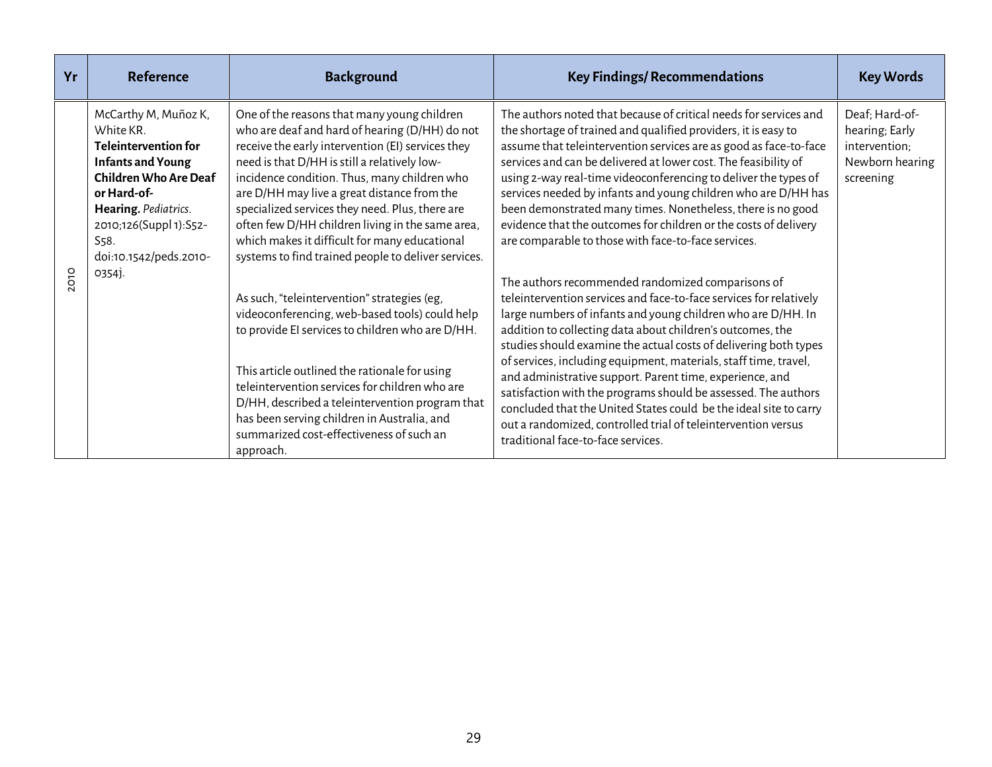| Yr          | <b>Reference</b>                                                                                                                                                                                                                             | <b>Background</b>                                                                                                                                                                                                                                                                                                                                                                                                                                                                                                | <b>Key Findings/ Recommendations</b>                                                                                                                                                                                                                                                                                                                                                                                                                                                                                                                                                                                                                                                                    | <b>Key Words</b>                                                                  |
|-------------|----------------------------------------------------------------------------------------------------------------------------------------------------------------------------------------------------------------------------------------------|------------------------------------------------------------------------------------------------------------------------------------------------------------------------------------------------------------------------------------------------------------------------------------------------------------------------------------------------------------------------------------------------------------------------------------------------------------------------------------------------------------------|---------------------------------------------------------------------------------------------------------------------------------------------------------------------------------------------------------------------------------------------------------------------------------------------------------------------------------------------------------------------------------------------------------------------------------------------------------------------------------------------------------------------------------------------------------------------------------------------------------------------------------------------------------------------------------------------------------|-----------------------------------------------------------------------------------|
| <b>2010</b> | McCarthy M, Muñoz K,<br>White KR.<br><b>Teleintervention for</b><br><b>Infants and Young</b><br><b>Children Who Are Deaf</b><br>or Hard-of-<br>Hearing. Pediatrics.<br>2010;126(Suppl 1):S52-<br>S <sub>58</sub> .<br>doi:10.1542/peds.2010- | One of the reasons that many young children<br>who are deaf and hard of hearing (D/HH) do not<br>receive the early intervention (EI) services they<br>need is that D/HH is still a relatively low-<br>incidence condition. Thus, many children who<br>are D/HH may live a great distance from the<br>specialized services they need. Plus, there are<br>often few D/HH children living in the same area,<br>which makes it difficult for many educational<br>systems to find trained people to deliver services. | The authors noted that because of critical needs for services and<br>the shortage of trained and qualified providers, it is easy to<br>assume that teleintervention services are as good as face-to-face<br>services and can be delivered at lower cost. The feasibility of<br>using 2-way real-time videoconferencing to deliver the types of<br>services needed by infants and young children who are D/HH has<br>been demonstrated many times. Nonetheless, there is no good<br>evidence that the outcomes for children or the costs of delivery<br>are comparable to those with face-to-face services.                                                                                              | Deaf; Hard-of-<br>hearing; Early<br>intervention;<br>Newborn hearing<br>screening |
|             | 0354j.                                                                                                                                                                                                                                       | As such, "teleintervention" strategies (eg,<br>videoconferencing, web-based tools) could help<br>to provide EI services to children who are D/HH.<br>This article outlined the rationale for using<br>teleintervention services for children who are<br>D/HH, described a teleintervention program that<br>has been serving children in Australia, and<br>summarized cost-effectiveness of such an<br>approach.                                                                                                  | The authors recommended randomized comparisons of<br>teleintervention services and face-to-face services for relatively<br>large numbers of infants and young children who are D/HH. In<br>addition to collecting data about children's outcomes, the<br>studies should examine the actual costs of delivering both types<br>of services, including equipment, materials, staff time, travel,<br>and administrative support. Parent time, experience, and<br>satisfaction with the programs should be assessed. The authors<br>concluded that the United States could be the ideal site to carry<br>out a randomized, controlled trial of teleintervention versus<br>traditional face-to-face services. |                                                                                   |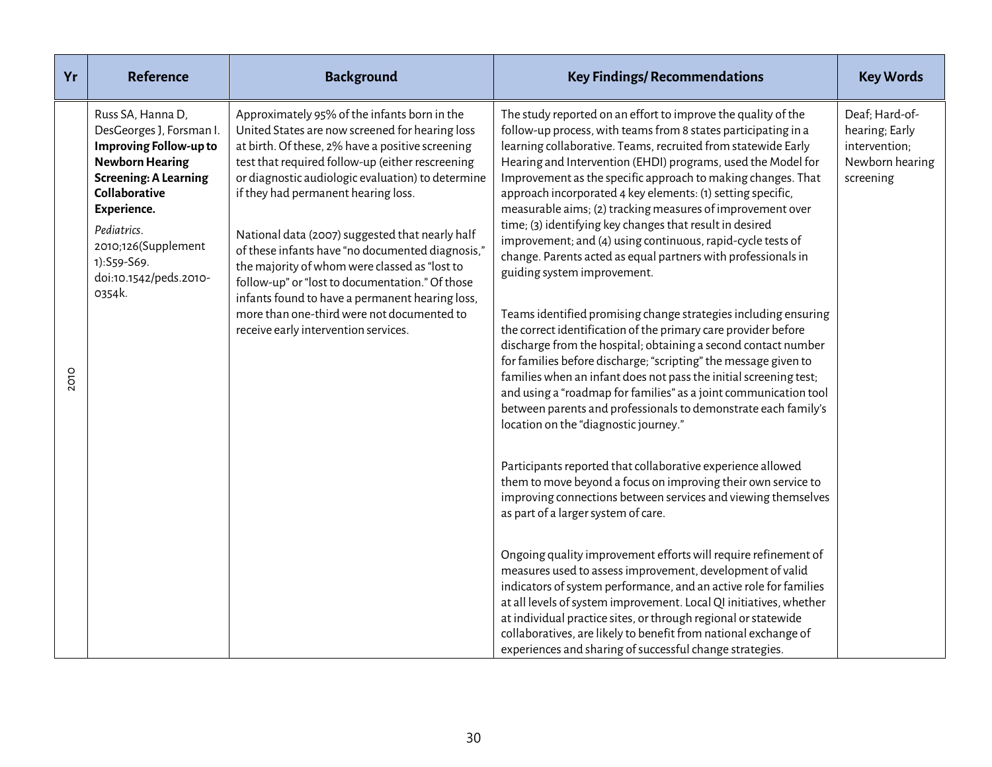| Yr   | <b>Reference</b>                                                                                                                                                                                                                                                  | <b>Background</b>                                                                                                                                                                                                                                                                                                                                                                                                                                                                                                                                                                                                                                       | <b>Key Findings/ Recommendations</b>                                                                                                                                                                                                                                                                                                                                                                                                                                                                                                                                                                                                                                                                                                                                                                                                                                                                                                                                                                                                                                                                                                                                                                                                                                                                                                                                                                                                                                                                                                                                                                                                                                                                                                                                                                                                                                                                                                      | <b>Key Words</b>                                                                  |
|------|-------------------------------------------------------------------------------------------------------------------------------------------------------------------------------------------------------------------------------------------------------------------|---------------------------------------------------------------------------------------------------------------------------------------------------------------------------------------------------------------------------------------------------------------------------------------------------------------------------------------------------------------------------------------------------------------------------------------------------------------------------------------------------------------------------------------------------------------------------------------------------------------------------------------------------------|-------------------------------------------------------------------------------------------------------------------------------------------------------------------------------------------------------------------------------------------------------------------------------------------------------------------------------------------------------------------------------------------------------------------------------------------------------------------------------------------------------------------------------------------------------------------------------------------------------------------------------------------------------------------------------------------------------------------------------------------------------------------------------------------------------------------------------------------------------------------------------------------------------------------------------------------------------------------------------------------------------------------------------------------------------------------------------------------------------------------------------------------------------------------------------------------------------------------------------------------------------------------------------------------------------------------------------------------------------------------------------------------------------------------------------------------------------------------------------------------------------------------------------------------------------------------------------------------------------------------------------------------------------------------------------------------------------------------------------------------------------------------------------------------------------------------------------------------------------------------------------------------------------------------------------------------|-----------------------------------------------------------------------------------|
| 2010 | Russ SA, Hanna D,<br>DesGeorges J, Forsman I.<br><b>Improving Follow-up to</b><br><b>Newborn Hearing</b><br><b>Screening: A Learning</b><br>Collaborative<br>Experience.<br>Pediatrics.<br>2010;126(Supplement<br>1):S59-S69.<br>doi:10.1542/peds.2010-<br>0354k. | Approximately 95% of the infants born in the<br>United States are now screened for hearing loss<br>at birth. Of these, 2% have a positive screening<br>test that required follow-up (either rescreening<br>or diagnostic audiologic evaluation) to determine<br>if they had permanent hearing loss.<br>National data (2007) suggested that nearly half<br>of these infants have "no documented diagnosis,"<br>the majority of whom were classed as "lost to<br>follow-up" or "lost to documentation." Of those<br>infants found to have a permanent hearing loss,<br>more than one-third were not documented to<br>receive early intervention services. | The study reported on an effort to improve the quality of the<br>follow-up process, with teams from 8 states participating in a<br>learning collaborative. Teams, recruited from statewide Early<br>Hearing and Intervention (EHDI) programs, used the Model for<br>Improvement as the specific approach to making changes. That<br>approach incorporated 4 key elements: (1) setting specific,<br>measurable aims; (2) tracking measures of improvement over<br>time; (3) identifying key changes that result in desired<br>improvement; and (4) using continuous, rapid-cycle tests of<br>change. Parents acted as equal partners with professionals in<br>guiding system improvement.<br>Teams identified promising change strategies including ensuring<br>the correct identification of the primary care provider before<br>discharge from the hospital; obtaining a second contact number<br>for families before discharge; "scripting" the message given to<br>families when an infant does not pass the initial screening test;<br>and using a "roadmap for families" as a joint communication tool<br>between parents and professionals to demonstrate each family's<br>location on the "diagnostic journey."<br>Participants reported that collaborative experience allowed<br>them to move beyond a focus on improving their own service to<br>improving connections between services and viewing themselves<br>as part of a larger system of care.<br>Ongoing quality improvement efforts will require refinement of<br>measures used to assess improvement, development of valid<br>indicators of system performance, and an active role for families<br>at all levels of system improvement. Local QI initiatives, whether<br>at individual practice sites, or through regional or statewide<br>collaboratives, are likely to benefit from national exchange of<br>experiences and sharing of successful change strategies. | Deaf; Hard-of-<br>hearing; Early<br>intervention;<br>Newborn hearing<br>screening |